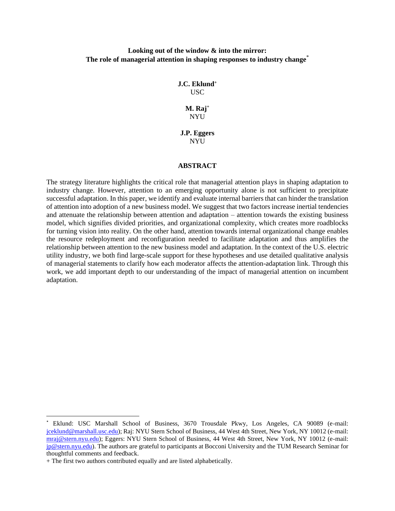## **Looking out of the window & into the mirror: The role of managerial attention in shaping responses to industry change**\*

**J.C. Eklund<sup>+</sup>** USC

> **M. Raj<sup>+</sup>** NYU

**J.P. Eggers** NYU

#### **ABSTRACT**

The strategy literature highlights the critical role that managerial attention plays in shaping adaptation to industry change. However, attention to an emerging opportunity alone is not sufficient to precipitate successful adaptation. In this paper, we identify and evaluate internal barriers that can hinder the translation of attention into adoption of a new business model. We suggest that two factors increase inertial tendencies and attenuate the relationship between attention and adaptation – attention towards the existing business model, which signifies divided priorities, and organizational complexity, which creates more roadblocks for turning vision into reality. On the other hand, attention towards internal organizational change enables the resource redeployment and reconfiguration needed to facilitate adaptation and thus amplifies the relationship between attention to the new business model and adaptation. In the context of the U.S. electric utility industry, we both find large-scale support for these hypotheses and use detailed qualitative analysis of managerial statements to clarify how each moderator affects the attention-adaptation link. Through this work, we add important depth to our understanding of the impact of managerial attention on incumbent adaptation.

<sup>\*</sup> Eklund: USC Marshall School of Business, 3670 Trousdale Pkwy, Los Angeles, CA 90089 (e-mail: [jceklund@marshall.usc.edu\)](mailto:jceklund@marshall.usc.edu); Raj: NYU Stern School of Business, 44 West 4th Street, New York, NY 10012 (e-mail: [mraj@stern.nyu.edu\)](mailto:mraj@stern.nyu.edu); Eggers: NYU Stern School of Business, 44 West 4th Street, New York, NY 10012 (e-mail: [jp@stern.nyu.edu\)](mailto:jp@stern.nyu.edu). The authors are grateful to participants at Bocconi University and the TUM Research Seminar for thoughtful comments and feedback.

<sup>+</sup> The first two authors contributed equally and are listed alphabetically.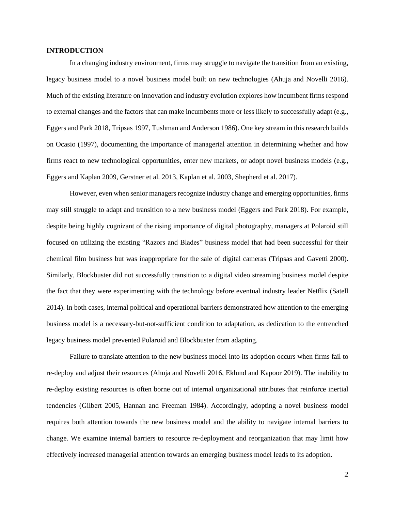## **INTRODUCTION**

In a changing industry environment, firms may struggle to navigate the transition from an existing, legacy business model to a novel business model built on new technologies (Ahuja and Novelli 2016). Much of the existing literature on innovation and industry evolution explores how incumbent firms respond to external changes and the factors that can make incumbents more or less likely to successfully adapt (e.g., Eggers and Park 2018, Tripsas 1997, Tushman and Anderson 1986). One key stream in this research builds on Ocasio (1997), documenting the importance of managerial attention in determining whether and how firms react to new technological opportunities, enter new markets, or adopt novel business models (e.g., Eggers and Kaplan 2009, Gerstner et al. 2013, Kaplan et al. 2003, Shepherd et al. 2017).

However, even when senior managers recognize industry change and emerging opportunities, firms may still struggle to adapt and transition to a new business model (Eggers and Park 2018). For example, despite being highly cognizant of the rising importance of digital photography, managers at Polaroid still focused on utilizing the existing "Razors and Blades" business model that had been successful for their chemical film business but was inappropriate for the sale of digital cameras (Tripsas and Gavetti 2000). Similarly, Blockbuster did not successfully transition to a digital video streaming business model despite the fact that they were experimenting with the technology before eventual industry leader Netflix (Satell 2014). In both cases, internal political and operational barriers demonstrated how attention to the emerging business model is a necessary-but-not-sufficient condition to adaptation, as dedication to the entrenched legacy business model prevented Polaroid and Blockbuster from adapting.

Failure to translate attention to the new business model into its adoption occurs when firms fail to re-deploy and adjust their resources (Ahuja and Novelli 2016, Eklund and Kapoor 2019). The inability to re-deploy existing resources is often borne out of internal organizational attributes that reinforce inertial tendencies (Gilbert 2005, Hannan and Freeman 1984). Accordingly, adopting a novel business model requires both attention towards the new business model and the ability to navigate internal barriers to change. We examine internal barriers to resource re-deployment and reorganization that may limit how effectively increased managerial attention towards an emerging business model leads to its adoption.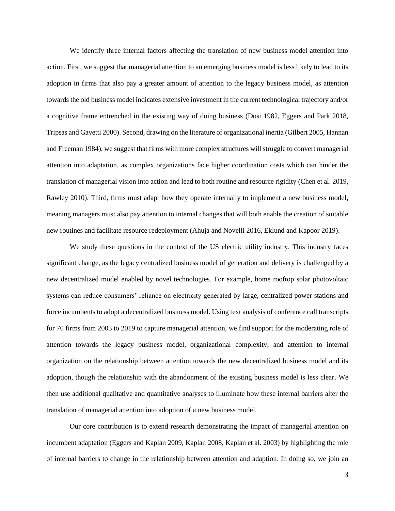We identify three internal factors affecting the translation of new business model attention into action. First, we suggest that managerial attention to an emerging business model is less likely to lead to its adoption in firms that also pay a greater amount of attention to the legacy business model, as attention towards the old business model indicates extensive investment in the current technological trajectory and/or a cognitive frame entrenched in the existing way of doing business (Dosi 1982, Eggers and Park 2018, Tripsas and Gavetti 2000). Second, drawing on the literature of organizational inertia (Gilbert 2005, Hannan and Freeman 1984), we suggest that firms with more complex structures will struggle to convert managerial attention into adaptation, as complex organizations face higher coordination costs which can hinder the translation of managerial vision into action and lead to both routine and resource rigidity (Chen et al. 2019, Rawley 2010). Third, firms must adapt how they operate internally to implement a new business model, meaning managers must also pay attention to internal changes that will both enable the creation of suitable new routines and facilitate resource redeployment (Ahuja and Novelli 2016, Eklund and Kapoor 2019).

We study these questions in the context of the US electric utility industry. This industry faces significant change, as the legacy centralized business model of generation and delivery is challenged by a new decentralized model enabled by novel technologies. For example, home rooftop solar photovoltaic systems can reduce consumers' reliance on electricity generated by large, centralized power stations and force incumbents to adopt a decentralized business model. Using text analysis of conference call transcripts for 70 firms from 2003 to 2019 to capture managerial attention, we find support for the moderating role of attention towards the legacy business model, organizational complexity, and attention to internal organization on the relationship between attention towards the new decentralized business model and its adoption, though the relationship with the abandonment of the existing business model is less clear. We then use additional qualitative and quantitative analyses to illuminate how these internal barriers alter the translation of managerial attention into adoption of a new business model.

Our core contribution is to extend research demonstrating the impact of managerial attention on incumbent adaptation (Eggers and Kaplan 2009, Kaplan 2008, Kaplan et al. 2003) by highlighting the role of internal barriers to change in the relationship between attention and adaption. In doing so, we join an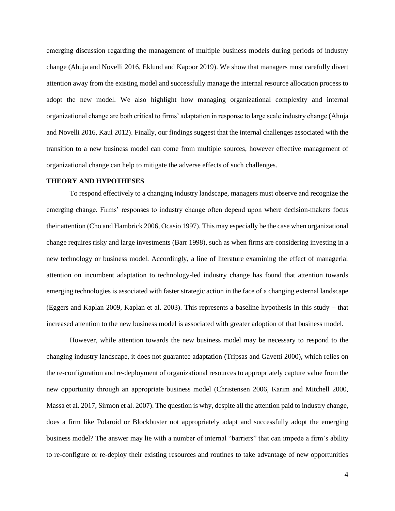emerging discussion regarding the management of multiple business models during periods of industry change (Ahuja and Novelli 2016, Eklund and Kapoor 2019). We show that managers must carefully divert attention away from the existing model and successfully manage the internal resource allocation process to adopt the new model. We also highlight how managing organizational complexity and internal organizational change are both critical to firms' adaptation in response to large scale industry change (Ahuja and Novelli 2016, Kaul 2012). Finally, our findings suggest that the internal challenges associated with the transition to a new business model can come from multiple sources, however effective management of organizational change can help to mitigate the adverse effects of such challenges.

## **THEORY AND HYPOTHESES**

To respond effectively to a changing industry landscape, managers must observe and recognize the emerging change. Firms' responses to industry change often depend upon where decision-makers focus their attention (Cho and Hambrick 2006, Ocasio 1997). This may especially be the case when organizational change requires risky and large investments (Barr 1998), such as when firms are considering investing in a new technology or business model. Accordingly, a line of literature examining the effect of managerial attention on incumbent adaptation to technology-led industry change has found that attention towards emerging technologies is associated with faster strategic action in the face of a changing external landscape (Eggers and Kaplan 2009, Kaplan et al. 2003). This represents a baseline hypothesis in this study – that increased attention to the new business model is associated with greater adoption of that business model.

However, while attention towards the new business model may be necessary to respond to the changing industry landscape, it does not guarantee adaptation (Tripsas and Gavetti 2000), which relies on the re-configuration and re-deployment of organizational resources to appropriately capture value from the new opportunity through an appropriate business model (Christensen 2006, Karim and Mitchell 2000, Massa et al. 2017, Sirmon et al. 2007). The question is why, despite all the attention paid to industry change, does a firm like Polaroid or Blockbuster not appropriately adapt and successfully adopt the emerging business model? The answer may lie with a number of internal "barriers" that can impede a firm's ability to re-configure or re-deploy their existing resources and routines to take advantage of new opportunities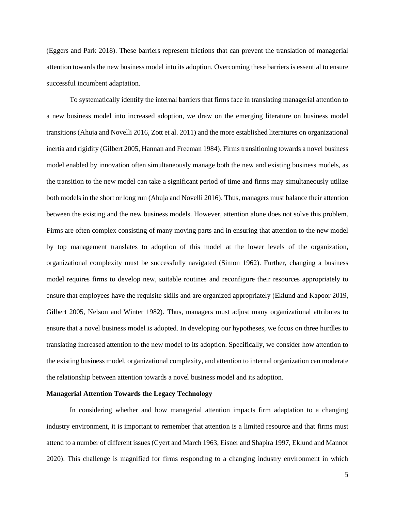(Eggers and Park 2018). These barriers represent frictions that can prevent the translation of managerial attention towards the new business model into its adoption. Overcoming these barriers is essential to ensure successful incumbent adaptation.

To systematically identify the internal barriers that firms face in translating managerial attention to a new business model into increased adoption, we draw on the emerging literature on business model transitions (Ahuja and Novelli 2016, Zott et al. 2011) and the more established literatures on organizational inertia and rigidity (Gilbert 2005, Hannan and Freeman 1984). Firms transitioning towards a novel business model enabled by innovation often simultaneously manage both the new and existing business models, as the transition to the new model can take a significant period of time and firms may simultaneously utilize both models in the short or long run (Ahuja and Novelli 2016). Thus, managers must balance their attention between the existing and the new business models. However, attention alone does not solve this problem. Firms are often complex consisting of many moving parts and in ensuring that attention to the new model by top management translates to adoption of this model at the lower levels of the organization, organizational complexity must be successfully navigated (Simon 1962). Further, changing a business model requires firms to develop new, suitable routines and reconfigure their resources appropriately to ensure that employees have the requisite skills and are organized appropriately (Eklund and Kapoor 2019, Gilbert 2005, Nelson and Winter 1982). Thus, managers must adjust many organizational attributes to ensure that a novel business model is adopted. In developing our hypotheses, we focus on three hurdles to translating increased attention to the new model to its adoption. Specifically, we consider how attention to the existing business model, organizational complexity, and attention to internal organization can moderate the relationship between attention towards a novel business model and its adoption.

## **Managerial Attention Towards the Legacy Technology**

In considering whether and how managerial attention impacts firm adaptation to a changing industry environment, it is important to remember that attention is a limited resource and that firms must attend to a number of different issues (Cyert and March 1963, Eisner and Shapira 1997, Eklund and Mannor 2020). This challenge is magnified for firms responding to a changing industry environment in which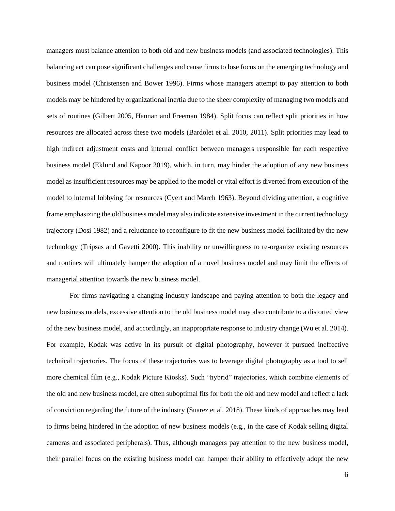managers must balance attention to both old and new business models (and associated technologies). This balancing act can pose significant challenges and cause firms to lose focus on the emerging technology and business model (Christensen and Bower 1996). Firms whose managers attempt to pay attention to both models may be hindered by organizational inertia due to the sheer complexity of managing two models and sets of routines (Gilbert 2005, Hannan and Freeman 1984). Split focus can reflect split priorities in how resources are allocated across these two models (Bardolet et al. 2010, 2011). Split priorities may lead to high indirect adjustment costs and internal conflict between managers responsible for each respective business model (Eklund and Kapoor 2019), which, in turn, may hinder the adoption of any new business model as insufficient resources may be applied to the model or vital effort is diverted from execution of the model to internal lobbying for resources (Cyert and March 1963). Beyond dividing attention, a cognitive frame emphasizing the old business model may also indicate extensive investment in the current technology trajectory (Dosi 1982) and a reluctance to reconfigure to fit the new business model facilitated by the new technology (Tripsas and Gavetti 2000). This inability or unwillingness to re-organize existing resources and routines will ultimately hamper the adoption of a novel business model and may limit the effects of managerial attention towards the new business model.

For firms navigating a changing industry landscape and paying attention to both the legacy and new business models, excessive attention to the old business model may also contribute to a distorted view of the new business model, and accordingly, an inappropriate response to industry change (Wu et al. 2014). For example, Kodak was active in its pursuit of digital photography, however it pursued ineffective technical trajectories. The focus of these trajectories was to leverage digital photography as a tool to sell more chemical film (e.g., Kodak Picture Kiosks). Such "hybrid" trajectories, which combine elements of the old and new business model, are often suboptimal fits for both the old and new model and reflect a lack of conviction regarding the future of the industry (Suarez et al. 2018). These kinds of approaches may lead to firms being hindered in the adoption of new business models (e.g., in the case of Kodak selling digital cameras and associated peripherals). Thus, although managers pay attention to the new business model, their parallel focus on the existing business model can hamper their ability to effectively adopt the new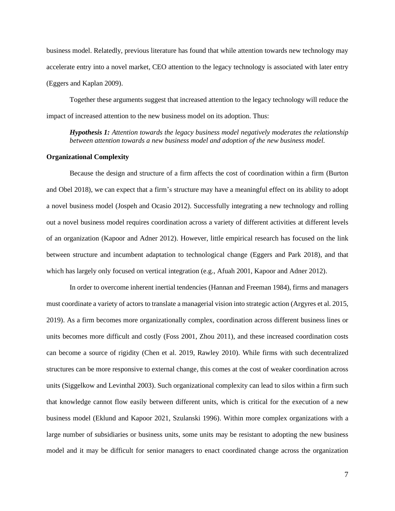business model. Relatedly, previous literature has found that while attention towards new technology may accelerate entry into a novel market, CEO attention to the legacy technology is associated with later entry (Eggers and Kaplan 2009).

Together these arguments suggest that increased attention to the legacy technology will reduce the impact of increased attention to the new business model on its adoption. Thus:

*Hypothesis 1: Attention towards the legacy business model negatively moderates the relationship between attention towards a new business model and adoption of the new business model.*

## **Organizational Complexity**

Because the design and structure of a firm affects the cost of coordination within a firm (Burton and Obel 2018), we can expect that a firm's structure may have a meaningful effect on its ability to adopt a novel business model (Jospeh and Ocasio 2012). Successfully integrating a new technology and rolling out a novel business model requires coordination across a variety of different activities at different levels of an organization (Kapoor and Adner 2012). However, little empirical research has focused on the link between structure and incumbent adaptation to technological change (Eggers and Park 2018), and that which has largely only focused on vertical integration (e.g., Afuah 2001, Kapoor and Adner 2012).

In order to overcome inherent inertial tendencies (Hannan and Freeman 1984), firms and managers must coordinate a variety of actors to translate a managerial vision into strategic action (Argyres et al. 2015, 2019). As a firm becomes more organizationally complex, coordination across different business lines or units becomes more difficult and costly (Foss 2001, Zhou 2011), and these increased coordination costs can become a source of rigidity (Chen et al. 2019, Rawley 2010). While firms with such decentralized structures can be more responsive to external change, this comes at the cost of weaker coordination across units (Siggelkow and Levinthal 2003). Such organizational complexity can lead to silos within a firm such that knowledge cannot flow easily between different units, which is critical for the execution of a new business model (Eklund and Kapoor 2021, Szulanski 1996). Within more complex organizations with a large number of subsidiaries or business units, some units may be resistant to adopting the new business model and it may be difficult for senior managers to enact coordinated change across the organization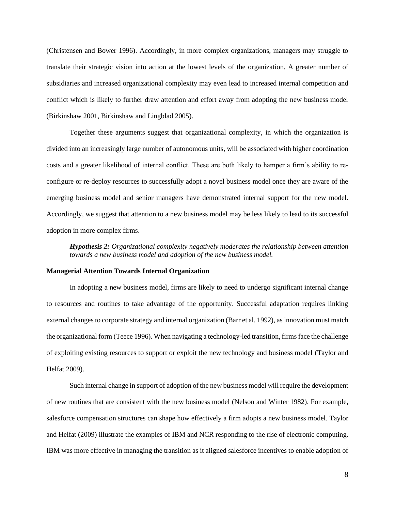(Christensen and Bower 1996). Accordingly, in more complex organizations, managers may struggle to translate their strategic vision into action at the lowest levels of the organization. A greater number of subsidiaries and increased organizational complexity may even lead to increased internal competition and conflict which is likely to further draw attention and effort away from adopting the new business model (Birkinshaw 2001, Birkinshaw and Lingblad 2005).

Together these arguments suggest that organizational complexity, in which the organization is divided into an increasingly large number of autonomous units, will be associated with higher coordination costs and a greater likelihood of internal conflict. These are both likely to hamper a firm's ability to reconfigure or re-deploy resources to successfully adopt a novel business model once they are aware of the emerging business model and senior managers have demonstrated internal support for the new model. Accordingly, we suggest that attention to a new business model may be less likely to lead to its successful adoption in more complex firms.

*Hypothesis 2: Organizational complexity negatively moderates the relationship between attention towards a new business model and adoption of the new business model.*

## **Managerial Attention Towards Internal Organization**

In adopting a new business model, firms are likely to need to undergo significant internal change to resources and routines to take advantage of the opportunity. Successful adaptation requires linking external changes to corporate strategy and internal organization (Barr et al. 1992), as innovation must match the organizational form (Teece 1996). When navigating a technology-led transition, firms face the challenge of exploiting existing resources to support or exploit the new technology and business model (Taylor and Helfat 2009).

Such internal change in support of adoption of the new business model will require the development of new routines that are consistent with the new business model (Nelson and Winter 1982). For example, salesforce compensation structures can shape how effectively a firm adopts a new business model. Taylor and Helfat (2009) illustrate the examples of IBM and NCR responding to the rise of electronic computing. IBM was more effective in managing the transition as it aligned salesforce incentives to enable adoption of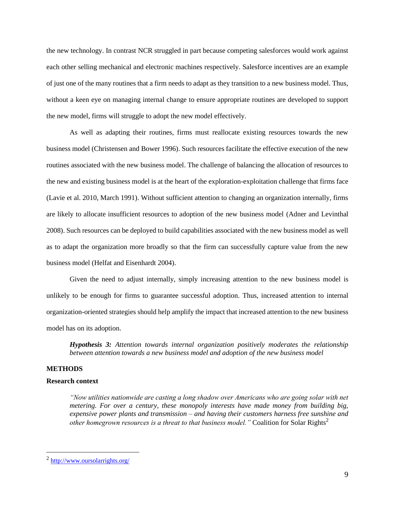the new technology. In contrast NCR struggled in part because competing salesforces would work against each other selling mechanical and electronic machines respectively. Salesforce incentives are an example of just one of the many routines that a firm needs to adapt as they transition to a new business model. Thus, without a keen eye on managing internal change to ensure appropriate routines are developed to support the new model, firms will struggle to adopt the new model effectively.

As well as adapting their routines, firms must reallocate existing resources towards the new business model (Christensen and Bower 1996). Such resources facilitate the effective execution of the new routines associated with the new business model. The challenge of balancing the allocation of resources to the new and existing business model is at the heart of the exploration-exploitation challenge that firms face (Lavie et al. 2010, March 1991). Without sufficient attention to changing an organization internally, firms are likely to allocate insufficient resources to adoption of the new business model (Adner and Levinthal 2008). Such resources can be deployed to build capabilities associated with the new business model as well as to adapt the organization more broadly so that the firm can successfully capture value from the new business model (Helfat and Eisenhardt 2004).

Given the need to adjust internally, simply increasing attention to the new business model is unlikely to be enough for firms to guarantee successful adoption. Thus, increased attention to internal organization-oriented strategies should help amplify the impact that increased attention to the new business model has on its adoption.

*Hypothesis 3: Attention towards internal organization positively moderates the relationship between attention towards a new business model and adoption of the new business model*

## **METHODS**

## **Research context**

*"Now utilities nationwide are casting a long shadow over Americans who are going solar with net metering. For over a century, these monopoly interests have made money from building big, expensive power plants and transmission – and having their customers harness free sunshine and other homegrown resources is a threat to that business model.* " Coalition for Solar Rights<sup>2</sup>

<sup>&</sup>lt;sup>2</sup> <http://www.oursolarrights.org/>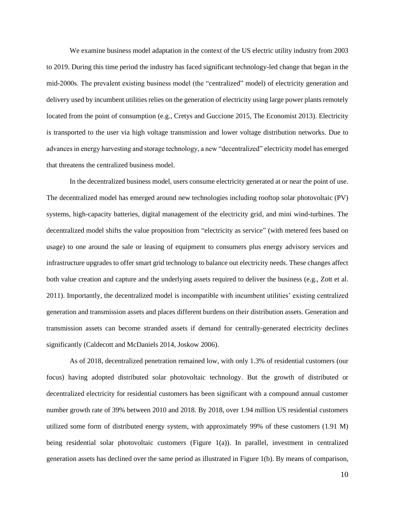We examine business model adaptation in the context of the US electric utility industry from 2003 to 2019. During this time period the industry has faced significant technology-led change that began in the mid-2000s. The prevalent existing business model (the "centralized" model) of electricity generation and delivery used by incumbent utilities relies on the generation of electricity using large power plants remotely located from the point of consumption (e.g., Cretys and Guccione 2015, The Economist 2013). Electricity is transported to the user via high voltage transmission and lower voltage distribution networks. Due to advances in energy harvesting and storage technology, a new "decentralized" electricity model has emerged that threatens the centralized business model.

In the decentralized business model, users consume electricity generated at or near the point of use. The decentralized model has emerged around new technologies including rooftop solar photovoltaic (PV) systems, high-capacity batteries, digital management of the electricity grid, and mini wind-turbines. The decentralized model shifts the value proposition from "electricity as service" (with metered fees based on usage) to one around the sale or leasing of equipment to consumers plus energy advisory services and infrastructure upgrades to offer smart grid technology to balance out electricity needs. These changes affect both value creation and capture and the underlying assets required to deliver the business (e.g., Zott et al. 2011). Importantly, the decentralized model is incompatible with incumbent utilities' existing centralized generation and transmission assets and places different burdens on their distribution assets. Generation and transmission assets can become stranded assets if demand for centrally-generated electricity declines significantly (Caldecott and McDaniels 2014, Joskow 2006).

As of 2018, decentralized penetration remained low, with only 1.3% of residential customers (our focus) having adopted distributed solar photovoltaic technology. But the growth of distributed or decentralized electricity for residential customers has been significant with a compound annual customer number growth rate of 39% between 2010 and 2018. By 2018, over 1.94 million US residential customers utilized some form of distributed energy system, with approximately 99% of these customers (1.91 M) being residential solar photovoltaic customers (Figure 1(a)). In parallel, investment in centralized generation assets has declined over the same period as illustrated in Figure 1(b). By means of comparison,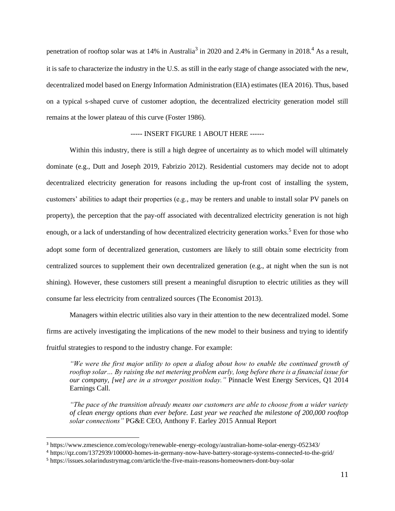penetration of rooftop solar was at 14% in Australia<sup>3</sup> in 2020 and 2.4% in Germany in 2018.<sup>4</sup> As a result, it is safe to characterize the industry in the U.S. as still in the early stage of change associated with the new, decentralized model based on Energy Information Administration (EIA) estimates (IEA 2016). Thus, based on a typical s-shaped curve of customer adoption, the decentralized electricity generation model still remains at the lower plateau of this curve (Foster 1986).

## ----- INSERT FIGURE 1 ABOUT HERE ------

Within this industry, there is still a high degree of uncertainty as to which model will ultimately dominate (e.g., Dutt and Joseph 2019, Fabrizio 2012). Residential customers may decide not to adopt decentralized electricity generation for reasons including the up-front cost of installing the system, customers' abilities to adapt their properties (e.g., may be renters and unable to install solar PV panels on property), the perception that the pay-off associated with decentralized electricity generation is not high enough, or a lack of understanding of how decentralized electricity generation works.<sup>5</sup> Even for those who adopt some form of decentralized generation, customers are likely to still obtain some electricity from centralized sources to supplement their own decentralized generation (e.g., at night when the sun is not shining). However, these customers still present a meaningful disruption to electric utilities as they will consume far less electricity from centralized sources (The Economist 2013).

Managers within electric utilities also vary in their attention to the new decentralized model. Some firms are actively investigating the implications of the new model to their business and trying to identify fruitful strategies to respond to the industry change. For example:

*"We were the first major utility to open a dialog about how to enable the continued growth of rooftop solar… By raising the net metering problem early, long before there is a financial issue for our company, [we] are in a stronger position today."* Pinnacle West Energy Services, Q1 2014 Earnings Call.

*"The pace of the transition already means our customers are able to choose from a wider variety of clean energy options than ever before. Last year we reached the milestone of 200,000 rooftop solar connections"* PG&E CEO, Anthony F. Earley 2015 Annual Report

<sup>3</sup> https://www.zmescience.com/ecology/renewable-energy-ecology/australian-home-solar-energy-052343/

<sup>4</sup> https://qz.com/1372939/100000-homes-in-germany-now-have-battery-storage-systems-connected-to-the-grid/

<sup>5</sup> https://issues.solarindustrymag.com/article/the-five-main-reasons-homeowners-dont-buy-solar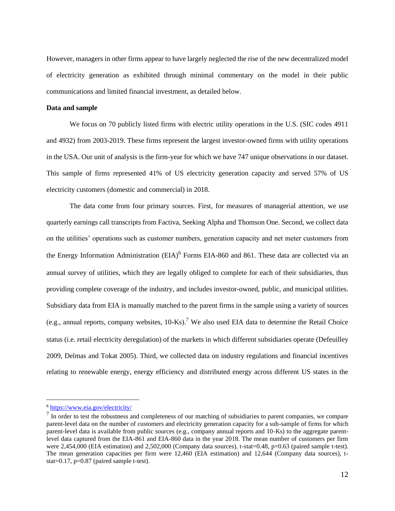However, managers in other firms appear to have largely neglected the rise of the new decentralized model of electricity generation as exhibited through minimal commentary on the model in their public communications and limited financial investment, as detailed below.

## **Data and sample**

We focus on 70 publicly listed firms with electric utility operations in the U.S. (SIC codes 4911 and 4932) from 2003-2019. These firms represent the largest investor-owned firms with utility operations in the USA. Our unit of analysis is the firm-year for which we have 747 unique observations in our dataset. This sample of firms represented 41% of US electricity generation capacity and served 57% of US electricity customers (domestic and commercial) in 2018.

The data come from four primary sources. First, for measures of managerial attention, we use quarterly earnings call transcripts from Factiva, Seeking Alpha and Thomson One. Second, we collect data on the utilities' operations such as customer numbers, generation capacity and net meter customers from the Energy Information Administration  $(EIA)^6$  Forms EIA-860 and 861. These data are collected via an annual survey of utilities, which they are legally obliged to complete for each of their subsidiaries, thus providing complete coverage of the industry, and includes investor-owned, public, and municipal utilities. Subsidiary data from EIA is manually matched to the parent firms in the sample using a variety of sources (e.g., annual reports, company websites,  $10\text{-Ks}$ ).<sup>7</sup> We also used EIA data to determine the Retail Choice status (i.e. retail electricity deregulation) of the markets in which different subsidiaries operate (Defeuilley 2009, Delmas and Tokat 2005). Third, we collected data on industry regulations and financial incentives relating to renewable energy, energy efficiency and distributed energy across different US states in the

<sup>6</sup> <https://www.eia.gov/electricity/>

 $<sup>7</sup>$  In order to test the robustness and completeness of our matching of subsidiaries to parent companies, we compare</sup> parent-level data on the number of customers and electricity generation capacity for a sub-sample of firms for which parent-level data is available from public sources (e.g., company annual reports and 10-Ks) to the aggregate parentlevel data captured from the EIA-861 and EIA-860 data in the year 2018. The mean number of customers per firm were 2,454,000 (EIA estimation) and 2,502,000 (Company data sources), t-stat=0.48, p=0.63 (paired sample t-test). The mean generation capacities per firm were 12,460 (EIA estimation) and 12,644 (Company data sources), tstat=0.17, p=0.87 (paired sample t-test).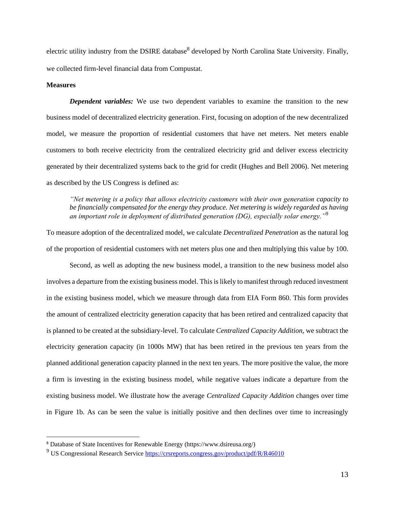electric utility industry from the DSIRE database<sup>8</sup> developed by North Carolina State University. Finally, we collected firm-level financial data from Compustat.

## **Measures**

*Dependent variables:* We use two dependent variables to examine the transition to the new business model of decentralized electricity generation. First, focusing on adoption of the new decentralized model, we measure the proportion of residential customers that have net meters. Net meters enable customers to both receive electricity from the centralized electricity grid and deliver excess electricity generated by their decentralized systems back to the grid for credit (Hughes and Bell 2006). Net metering as described by the US Congress is defined as:

*"Net metering is a policy that allows electricity customers with their own generation capacity to be financially compensated for the energy they produce. Net metering is widely regarded as having an important role in deployment of distributed generation (DG), especially solar energy."*<sup>9</sup> 

To measure adoption of the decentralized model, we calculate *Decentralized Penetration* as the natural log of the proportion of residential customers with net meters plus one and then multiplying this value by 100.

Second, as well as adopting the new business model, a transition to the new business model also involves a departure from the existing business model. This is likely to manifest through reduced investment in the existing business model, which we measure through data from EIA Form 860. This form provides the amount of centralized electricity generation capacity that has been retired and centralized capacity that is planned to be created at the subsidiary-level. To calculate *Centralized Capacity Addition,* we subtract the electricity generation capacity (in 1000s MW) that has been retired in the previous ten years from the planned additional generation capacity planned in the next ten years. The more positive the value, the more a firm is investing in the existing business model, while negative values indicate a departure from the existing business model. We illustrate how the average *Centralized Capacity Addition* changes over time in Figure 1b. As can be seen the value is initially positive and then declines over time to increasingly

<sup>8</sup> Database of State Incentives for Renewable Energy (https://www.dsireusa.org/)

<sup>&</sup>lt;sup>9</sup> US Congressional Research Service<https://crsreports.congress.gov/product/pdf/R/R46010>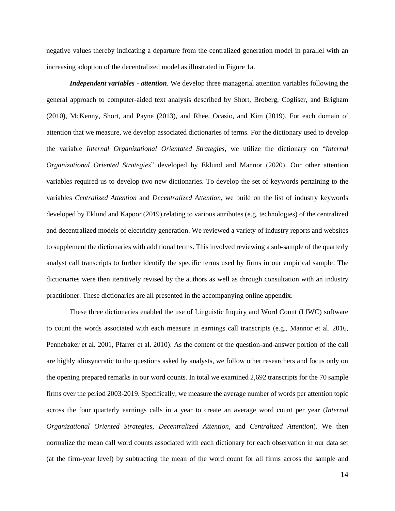negative values thereby indicating a departure from the centralized generation model in parallel with an increasing adoption of the decentralized model as illustrated in Figure 1a.

*Independent variables - attention*. We develop three managerial attention variables following the general approach to computer-aided text analysis described by Short, Broberg, Cogliser, and Brigham (2010), McKenny, Short, and Payne (2013), and Rhee, Ocasio, and Kim (2019). For each domain of attention that we measure, we develop associated dictionaries of terms. For the dictionary used to develop the variable *Internal Organizational Orientated Strategies*, we utilize the dictionary on "*Internal Organizational Oriented Strategies*" developed by Eklund and Mannor (2020). Our other attention variables required us to develop two new dictionaries. To develop the set of keywords pertaining to the variables *Centralized Attention* and *Decentralized Attention*, we build on the list of industry keywords developed by Eklund and Kapoor (2019) relating to various attributes (e.g. technologies) of the centralized and decentralized models of electricity generation. We reviewed a variety of industry reports and websites to supplement the dictionaries with additional terms. This involved reviewing a sub-sample of the quarterly analyst call transcripts to further identify the specific terms used by firms in our empirical sample. The dictionaries were then iteratively revised by the authors as well as through consultation with an industry practitioner. These dictionaries are all presented in the accompanying online appendix.

These three dictionaries enabled the use of Linguistic Inquiry and Word Count (LIWC) software to count the words associated with each measure in earnings call transcripts (e.g., Mannor et al. 2016, Pennebaker et al. 2001, Pfarrer et al. 2010). As the content of the question-and-answer portion of the call are highly idiosyncratic to the questions asked by analysts, we follow other researchers and focus only on the opening prepared remarks in our word counts. In total we examined 2,692 transcripts for the 70 sample firms over the period 2003-2019. Specifically, we measure the average number of words per attention topic across the four quarterly earnings calls in a year to create an average word count per year (*Internal Organizational Oriented Strategies, Decentralized Attention*, and *Centralized Attention*). We then normalize the mean call word counts associated with each dictionary for each observation in our data set (at the firm-year level) by subtracting the mean of the word count for all firms across the sample and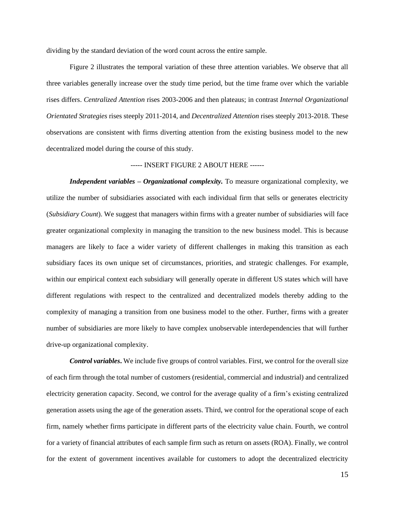dividing by the standard deviation of the word count across the entire sample.

Figure 2 illustrates the temporal variation of these three attention variables. We observe that all three variables generally increase over the study time period, but the time frame over which the variable rises differs. *Centralized Attention* rises 2003-2006 and then plateaus; in contrast *Internal Organizational Orientated Strategies* rises steeply 2011-2014, and *Decentralized Attention* rises steeply 2013-2018. These observations are consistent with firms diverting attention from the existing business model to the new decentralized model during the course of this study.

## ----- INSERT FIGURE 2 ABOUT HERE ------

*Independent variables – Organizational complexity.* To measure organizational complexity, we utilize the number of subsidiaries associated with each individual firm that sells or generates electricity (*Subsidiary Count*). We suggest that managers within firms with a greater number of subsidiaries will face greater organizational complexity in managing the transition to the new business model. This is because managers are likely to face a wider variety of different challenges in making this transition as each subsidiary faces its own unique set of circumstances, priorities, and strategic challenges. For example, within our empirical context each subsidiary will generally operate in different US states which will have different regulations with respect to the centralized and decentralized models thereby adding to the complexity of managing a transition from one business model to the other. Further, firms with a greater number of subsidiaries are more likely to have complex unobservable interdependencies that will further drive-up organizational complexity.

*Control variables***.** We include five groups of control variables. First, we control for the overall size of each firm through the total number of customers (residential, commercial and industrial) and centralized electricity generation capacity. Second, we control for the average quality of a firm's existing centralized generation assets using the age of the generation assets. Third, we control for the operational scope of each firm, namely whether firms participate in different parts of the electricity value chain. Fourth, we control for a variety of financial attributes of each sample firm such as return on assets (ROA). Finally, we control for the extent of government incentives available for customers to adopt the decentralized electricity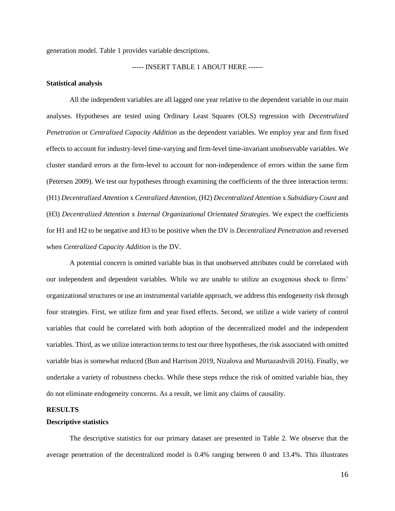generation model. [Table 1](#page-31-0) provides variable descriptions.

## ----- INSERT TABLE 1 ABOUT HERE ------

#### **Statistical analysis**

All the independent variables are all lagged one year relative to the dependent variable in our main analyses. Hypotheses are tested using Ordinary Least Squares (OLS) regression with *Decentralized Penetration* or *Centralized Capacity Addition* as the dependent variables. We employ year and firm fixed effects to account for industry-level time-varying and firm-level time-invariant unobservable variables. We cluster standard errors at the firm-level to account for non-independence of errors within the same firm (Petersen 2009). We test our hypotheses through examining the coefficients of the three interaction terms: (H1) *Decentralized Attention* x *Centralized Attention*, (H2) *Decentralized Attention* x *Subsidiary Count* and (H3) *Decentralized Attention* x *Internal Organizational Orientated Strategies*. We expect the coefficients for H1 and H2 to be negative and H3 to be positive when the DV is *Decentralized Penetration* and reversed when *Centralized Capacity Addition* is the DV.

A potential concern is omitted variable bias in that unobserved attributes could be correlated with our independent and dependent variables. While we are unable to utilize an exogenous shock to firms' organizational structures or use an instrumental variable approach, we address this endogeneity risk through four strategies. First, we utilize firm and year fixed effects. Second, we utilize a wide variety of control variables that could be correlated with both adoption of the decentralized model and the independent variables. Third, as we utilize interaction terms to test our three hypotheses, the risk associated with omitted variable bias is somewhat reduced (Bun and Harrison 2019, Nizalova and Murtazashvili 2016). Finally, we undertake a variety of robustness checks. While these steps reduce the risk of omitted variable bias, they do not eliminate endogeneity concerns. As a result, we limit any claims of causality.

#### **RESULTS**

## **Descriptive statistics**

The descriptive statistics for our primary dataset are presented in [Table 2.](#page-32-0) We observe that the average penetration of the decentralized model is 0.4% ranging between 0 and 13.4%. This illustrates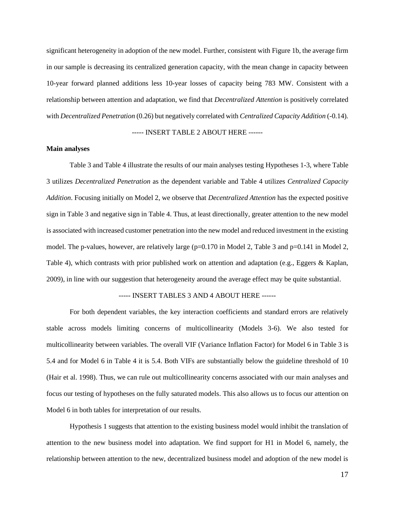significant heterogeneity in adoption of the new model. Further, consistent with Figure 1b, the average firm in our sample is decreasing its centralized generation capacity, with the mean change in capacity between 10-year forward planned additions less 10-year losses of capacity being 783 MW. Consistent with a relationship between attention and adaptation, we find that *Decentralized Attention* is positively correlated with *Decentralized Penetration* (0.26) but negatively correlated with *Centralized Capacity Addition* (-0.14).

## ----- INSERT TABLE 2 ABOUT HERE ------

## **Main analyses**

[Table 3](#page-33-0) and [Table 4](#page-34-0) illustrate the results of our main analyses testing Hypotheses 1-3, where [Table](#page-33-0)  [3](#page-33-0) utilizes *Decentralized Penetration* as the dependent variable and [Table 4](#page-34-0) utilizes *Centralized Capacity Addition*. Focusing initially on Model 2, we observe that *Decentralized Attention* has the expected positive sign in [Table 3](#page-33-0) and negative sign in [Table 4.](#page-34-0) Thus, at least directionally, greater attention to the new model is associated with increased customer penetration into the new model and reduced investment in the existing model. The p-values, however, are relatively large  $(p=0.170$  in Model 2, [Table 3](#page-33-0) and  $p=0.141$  in Model 2, [Table 4\)](#page-34-0), which contrasts with prior published work on attention and adaptation (e.g., Eggers & Kaplan, 2009), in line with our suggestion that heterogeneity around the average effect may be quite substantial.

## ----- INSERT TABLES 3 AND 4 ABOUT HERE ------

For both dependent variables, the key interaction coefficients and standard errors are relatively stable across models limiting concerns of multicollinearity (Models 3-6). We also tested for multicollinearity between variables. The overall VIF (Variance Inflation Factor) for Model 6 in [Table 3](#page-33-0) is 5.4 and for Model 6 in [Table 4](#page-34-0) it is 5.4. Both VIFs are substantially below the guideline threshold of 10 (Hair et al. 1998). Thus, we can rule out multicollinearity concerns associated with our main analyses and focus our testing of hypotheses on the fully saturated models. This also allows us to focus our attention on Model 6 in both tables for interpretation of our results.

Hypothesis 1 suggests that attention to the existing business model would inhibit the translation of attention to the new business model into adaptation. We find support for H1 in Model 6, namely, the relationship between attention to the new, decentralized business model and adoption of the new model is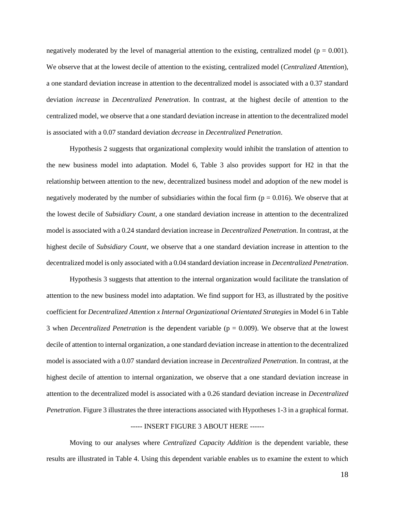negatively moderated by the level of managerial attention to the existing, centralized model ( $p = 0.001$ ). We observe that at the lowest decile of attention to the existing, centralized model (*Centralized Attention*), a one standard deviation increase in attention to the decentralized model is associated with a 0.37 standard deviation *increase* in *Decentralized Penetration*. In contrast, at the highest decile of attention to the centralized model, we observe that a one standard deviation increase in attention to the decentralized model is associated with a 0.07 standard deviation *decrease* in *Decentralized Penetration*.

Hypothesis 2 suggests that organizational complexity would inhibit the translation of attention to the new business model into adaptation. Model 6, [Table 3](#page-33-0) also provides support for H2 in that the relationship between attention to the new, decentralized business model and adoption of the new model is negatively moderated by the number of subsidiaries within the focal firm ( $p = 0.016$ ). We observe that at the lowest decile of *Subsidiary Count*, a one standard deviation increase in attention to the decentralized model is associated with a 0.24 standard deviation increase in *Decentralized Penetration*. In contrast, at the highest decile of *Subsidiary Count*, we observe that a one standard deviation increase in attention to the decentralized model is only associated with a 0.04 standard deviation increase in *Decentralized Penetration*.

Hypothesis 3 suggests that attention to the internal organization would facilitate the translation of attention to the new business model into adaptation. We find support for H3, as illustrated by the positive coefficient for *Decentralized Attention x Internal Organizational Orientated Strategies* in Model 6 in [Table](#page-33-0)  [3](#page-33-0) when *Decentralized Penetration* is the dependent variable (p = 0.009). We observe that at the lowest decile of attention to internal organization, a one standard deviation increase in attention to the decentralized model is associated with a 0.07 standard deviation increase in *Decentralized Penetration*. In contrast, at the highest decile of attention to internal organization, we observe that a one standard deviation increase in attention to the decentralized model is associated with a 0.26 standard deviation increase in *Decentralized Penetration*. [Figure 3](#page-37-0) illustrates the three interactions associated with Hypotheses 1-3 in a graphical format.

## ----- INSERT FIGURE 3 ABOUT HERE ------

Moving to our analyses where *Centralized Capacity Addition* is the dependent variable, these results are illustrated in [Table 4.](#page-34-0) Using this dependent variable enables us to examine the extent to which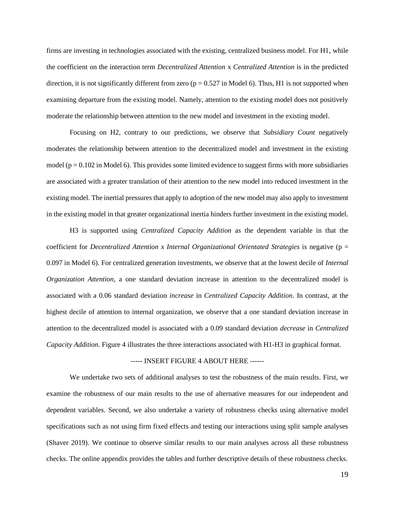firms are investing in technologies associated with the existing, centralized business model. For H1, while the coefficient on the interaction term *Decentralized Attention* x *Centralized Attention* is in the predicted direction, it is not significantly different from zero ( $p = 0.527$  in Model 6). Thus, H1 is not supported when examining departure from the existing model. Namely, attention to the existing model does not positively moderate the relationship between attention to the new model and investment in the existing model.

Focusing on H2, contrary to our predictions, we observe that *Subsidiary Count* negatively moderates the relationship between attention to the decentralized model and investment in the existing model ( $p = 0.102$  in Model 6). This provides some limited evidence to suggest firms with more subsidiaries are associated with a greater translation of their attention to the new model into reduced investment in the existing model. The inertial pressures that apply to adoption of the new model may also apply to investment in the existing model in that greater organizational inertia hinders further investment in the existing model.

H3 is supported using *Centralized Capacity Addition* as the dependent variable in that the coefficient for *Decentralized Attention x Internal Organizational Orientated Strategies* is negative (p = 0.097 in Model 6). For centralized generation investments, we observe that at the lowest decile of *Internal Organization Attention*, a one standard deviation increase in attention to the decentralized model is associated with a 0.06 standard deviation *increase* in *Centralized Capacity Addition*. In contrast, at the highest decile of attention to internal organization, we observe that a one standard deviation increase in attention to the decentralized model is associated with a 0.09 standard deviation *decrease* in *Centralized Capacity Addition*. [Figure 4](#page-38-0) illustrates the three interactions associated with H1-H3 in graphical format.

#### ----- INSERT FIGURE 4 ABOUT HERE ------

We undertake two sets of additional analyses to test the robustness of the main results. First, we examine the robustness of our main results to the use of alternative measures for our independent and dependent variables. Second, we also undertake a variety of robustness checks using alternative model specifications such as not using firm fixed effects and testing our interactions using split sample analyses (Shaver 2019). We continue to observe similar results to our main analyses across all these robustness checks. The online appendix provides the tables and further descriptive details of these robustness checks.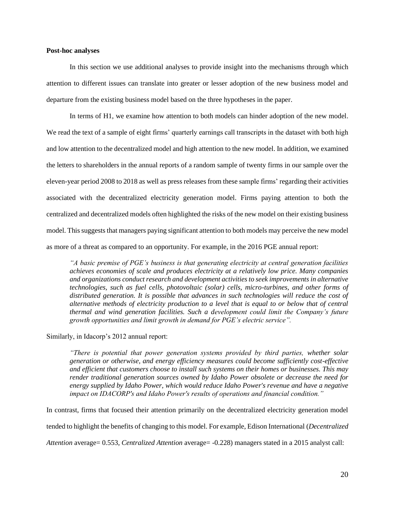## **Post-hoc analyses**

In this section we use additional analyses to provide insight into the mechanisms through which attention to different issues can translate into greater or lesser adoption of the new business model and departure from the existing business model based on the three hypotheses in the paper.

In terms of H1, we examine how attention to both models can hinder adoption of the new model. We read the text of a sample of eight firms' quarterly earnings call transcripts in the dataset with both high and low attention to the decentralized model and high attention to the new model. In addition, we examined the letters to shareholders in the annual reports of a random sample of twenty firms in our sample over the eleven-year period 2008 to 2018 as well as press releases from these sample firms' regarding their activities associated with the decentralized electricity generation model. Firms paying attention to both the centralized and decentralized models often highlighted the risks of the new model on their existing business model. This suggests that managers paying significant attention to both models may perceive the new model as more of a threat as compared to an opportunity. For example, in the 2016 PGE annual report:

*"A basic premise of PGE's business is that generating electricity at central generation facilities achieves economies of scale and produces electricity at a relatively low price. Many companies and organizations conduct research and development activities to seek improvements in alternative technologies, such as fuel cells, photovoltaic (solar) cells, micro-turbines, and other forms of distributed generation. It is possible that advances in such technologies will reduce the cost of alternative methods of electricity production to a level that is equal to or below that of central thermal and wind generation facilities. Such a development could limit the Company's future growth opportunities and limit growth in demand for PGE's electric service".*

Similarly, in Idacorp's 2012 annual report:

*"There is potential that power generation systems provided by third parties, whether solar generation or otherwise, and energy efficiency measures could become sufficiently cost-effective and efficient that customers choose to install such systems on their homes or businesses. This may render traditional generation sources owned by Idaho Power obsolete or decrease the need for energy supplied by Idaho Power, which would reduce Idaho Power's revenue and have a negative impact on IDACORP's and Idaho Power's results of operations and financial condition."*

In contrast, firms that focused their attention primarily on the decentralized electricity generation model

tended to highlight the benefits of changing to this model. For example, Edison International (*Decentralized* 

*Attention* average= 0.553, *Centralized Attention* average= -0.228) managers stated in a 2015 analyst call: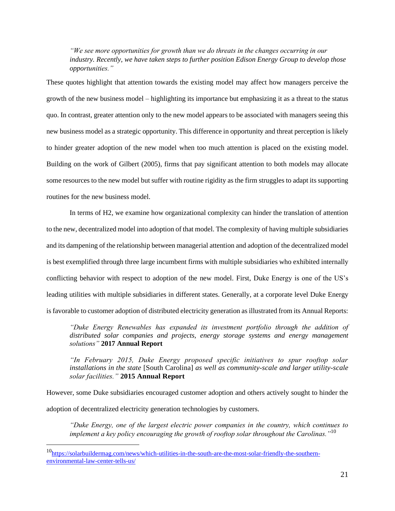*"We see more opportunities for growth than we do threats in the changes occurring in our industry. Recently, we have taken steps to further position Edison Energy Group to develop those opportunities."*

These quotes highlight that attention towards the existing model may affect how managers perceive the growth of the new business model – highlighting its importance but emphasizing it as a threat to the status quo. In contrast, greater attention only to the new model appears to be associated with managers seeing this new business model as a strategic opportunity. This difference in opportunity and threat perception is likely to hinder greater adoption of the new model when too much attention is placed on the existing model. Building on the work of Gilbert (2005), firms that pay significant attention to both models may allocate some resources to the new model but suffer with routine rigidity as the firm struggles to adapt its supporting routines for the new business model.

In terms of H2, we examine how organizational complexity can hinder the translation of attention to the new, decentralized model into adoption of that model. The complexity of having multiple subsidiaries and its dampening of the relationship between managerial attention and adoption of the decentralized model is best exemplified through three large incumbent firms with multiple subsidiaries who exhibited internally conflicting behavior with respect to adoption of the new model. First, Duke Energy is one of the US's leading utilities with multiple subsidiaries in different states. Generally, at a corporate level Duke Energy is favorable to customer adoption of distributed electricity generation as illustrated from its Annual Reports:

*"Duke Energy Renewables has expanded its investment portfolio through the addition of distributed solar companies and projects, energy storage systems and energy management solutions"* **2017 Annual Report**

*"In February 2015, Duke Energy proposed specific initiatives to spur rooftop solar installations in the state* [South Carolina] *as well as community-scale and larger utility-scale solar facilities."* **2015 Annual Report**

However, some Duke subsidiaries encouraged customer adoption and others actively sought to hinder the adoption of decentralized electricity generation technologies by customers.

*"Duke Energy, one of the largest electric power companies in the country, which continues to implement a key policy encouraging the growth of rooftop solar throughout the Carolinas."*<sup>10</sup>

<sup>10</sup>[https://solarbuildermag.com/news/which-utilities-in-the-south-are-the-most-solar-friendly-the-southern](https://solarbuildermag.com/news/which-utilities-in-the-south-are-the-most-solar-friendly-the-southern-environmental-law-center-tells-us/)[environmental-law-center-tells-us/](https://solarbuildermag.com/news/which-utilities-in-the-south-are-the-most-solar-friendly-the-southern-environmental-law-center-tells-us/)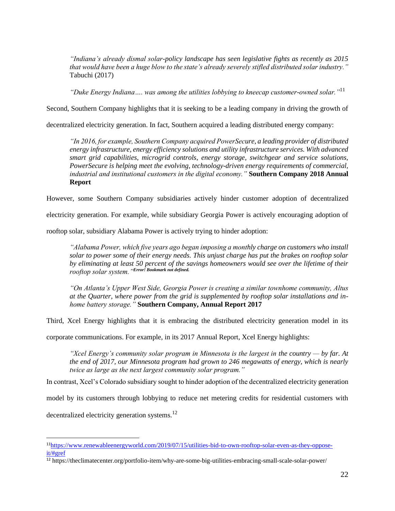*"Indiana's already dismal solar-policy landscape has seen legislative fights as recently as 2015 that would have been a huge blow to the state's already severely stifled distributed solar industry."*  Tabuchi (2017)

*"Duke Energy Indiana…. was among the utilities lobbying to kneecap customer-owned solar."*<sup>11</sup>

Second, Southern Company highlights that it is seeking to be a leading company in driving the growth of

decentralized electricity generation. In fact, Southern acquired a leading distributed energy company:

*"In 2016, for example, Southern Company acquired PowerSecure, a leading provider of distributed energy infrastructure, energy efficiency solutions and utility infrastructure services. With advanced smart grid capabilities, microgrid controls, energy storage, switchgear and service solutions, PowerSecure is helping meet the evolving, technology-driven energy requirements of commercial, industrial and institutional customers in the digital economy."* **Southern Company 2018 Annual Report**

However, some Southern Company subsidiaries actively hinder customer adoption of decentralized

electricity generation. For example, while subsidiary Georgia Power is actively encouraging adoption of

rooftop solar, subsidiary Alabama Power is actively trying to hinder adoption:

*"Alabama Power, which five years ago began imposing a monthly charge on customers who install solar to power some of their energy needs. This unjust charge has put the brakes on rooftop solar by eliminating at least 50 percent of the savings homeowners would see over the lifetime of their rooftop solar system."Error! Bookmark not defined.*

*"On Atlanta's Upper West Side, Georgia Power is creating a similar townhome community, Altus at the Quarter, where power from the grid is supplemented by rooftop solar installations and inhome battery storage."* **Southern Company, Annual Report 2017**

Third, Xcel Energy highlights that it is embracing the distributed electricity generation model in its

corporate communications. For example, in its 2017 Annual Report, Xcel Energy highlights:

*"Xcel Energy's community solar program in Minnesota is the largest in the country — by far. At the end of 2017, our Minnesota program had grown to 246 megawatts of energy, which is nearly twice as large as the next largest community solar program."* 

In contrast, Xcel's Colorado subsidiary sought to hinder adoption of the decentralized electricity generation

model by its customers through lobbying to reduce net metering credits for residential customers with

decentralized electricity generation systems.<sup>12</sup>

<sup>11</sup>[https://www.renewableenergyworld.com/2019/07/15/utilities-bid-to-own-rooftop-solar-even-as-they-oppose](https://www.renewableenergyworld.com/2019/07/15/utilities-bid-to-own-rooftop-solar-even-as-they-oppose-it/#gref)[it/#gref](https://www.renewableenergyworld.com/2019/07/15/utilities-bid-to-own-rooftop-solar-even-as-they-oppose-it/#gref)

<sup>12</sup> https://theclimatecenter.org/portfolio-item/why-are-some-big-utilities-embracing-small-scale-solar-power/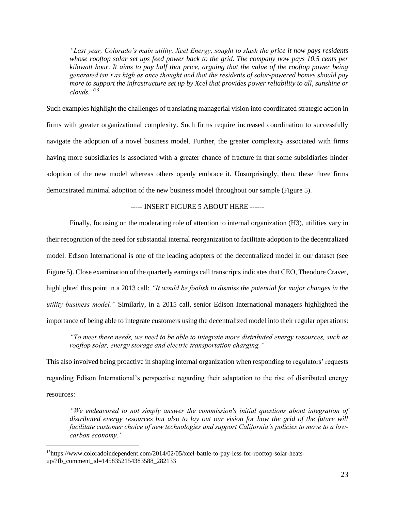*"Last year, Colorado's main utility, Xcel Energy, sought to slash the price it now pays residents whose rooftop solar set ups feed power back to the grid. The company now pays 10.5 cents per kilowatt hour. It aims to pay half that price, arguing that the value of the rooftop power being generated isn't as high as once thought and that the residents of solar-powered homes should pay more to support the infrastructure set up by Xcel that provides power reliability to all, sunshine or clouds."*<sup>13</sup>

Such examples highlight the challenges of translating managerial vision into coordinated strategic action in firms with greater organizational complexity. Such firms require increased coordination to successfully navigate the adoption of a novel business model. Further, the greater complexity associated with firms having more subsidiaries is associated with a greater chance of fracture in that some subsidiaries hinder adoption of the new model whereas others openly embrace it. Unsurprisingly, then, these three firms demonstrated minimal adoption of the new business model throughout our sample (Figure 5).

## ----- INSERT FIGURE 5 ABOUT HERE ------

Finally, focusing on the moderating role of attention to internal organization (H3), utilities vary in their recognition of the need for substantial internal reorganization to facilitate adoption to the decentralized model. Edison International is one of the leading adopters of the decentralized model in our dataset (see [Figure 5\)](#page-38-1). Close examination of the quarterly earnings call transcripts indicates that CEO, Theodore Craver, highlighted this point in a 2013 call: *"It would be foolish to dismiss the potential for major changes in the utility business model."* Similarly, in a 2015 call, senior Edison International managers highlighted the importance of being able to integrate customers using the decentralized model into their regular operations:

*"To meet these needs, we need to be able to integrate more distributed energy resources, such as rooftop solar, energy storage and electric transportation charging."*

This also involved being proactive in shaping internal organization when responding to regulators' requests regarding Edison International's perspective regarding their adaptation to the rise of distributed energy resources:

*"We endeavored to not simply answer the commission's initial questions about integration of distributed energy resources but also to lay out our vision for how the grid of the future will facilitate customer choice of new technologies and support California's policies to move to a lowcarbon economy."*

<sup>13</sup>https://www.coloradoindependent.com/2014/02/05/xcel-battle-to-pay-less-for-rooftop-solar-heatsup/?fb\_comment\_id=1458352154383588\_282133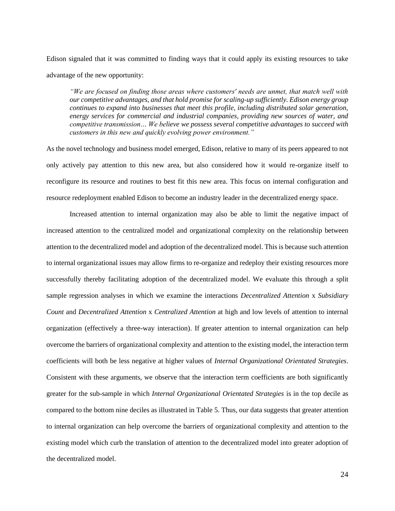Edison signaled that it was committed to finding ways that it could apply its existing resources to take advantage of the new opportunity:

*"We are focused on finding those areas where customers' needs are unmet, that match well with our competitive advantages, and that hold promise for scaling-up sufficiently. Edison energy group continues to expand into businesses that meet this profile, including distributed solar generation, energy services for commercial and industrial companies, providing new sources of water, and competitive transmission… We believe we possess several competitive advantages to succeed with customers in this new and quickly evolving power environment."*

As the novel technology and business model emerged, Edison, relative to many of its peers appeared to not only actively pay attention to this new area, but also considered how it would re-organize itself to reconfigure its resource and routines to best fit this new area. This focus on internal configuration and resource redeployment enabled Edison to become an industry leader in the decentralized energy space.

Increased attention to internal organization may also be able to limit the negative impact of increased attention to the centralized model and organizational complexity on the relationship between attention to the decentralized model and adoption of the decentralized model. This is because such attention to internal organizational issues may allow firms to re-organize and redeploy their existing resources more successfully thereby facilitating adoption of the decentralized model. We evaluate this through a split sample regression analyses in which we examine the interactions *Decentralized Attention* x *Subsidiary Count* and *Decentralized Attention* x *Centralized Attention* at high and low levels of attention to internal organization (effectively a three-way interaction). If greater attention to internal organization can help overcome the barriers of organizational complexity and attention to the existing model, the interaction term coefficients will both be less negative at higher values of *Internal Organizational Orientated Strategies*. Consistent with these arguments, we observe that the interaction term coefficients are both significantly greater for the sub-sample in which *Internal Organizational Orientated Strategies* is in the top decile as compared to the bottom nine deciles as illustrated in [Table 5.](#page-35-0) Thus, our data suggests that greater attention to internal organization can help overcome the barriers of organizational complexity and attention to the existing model which curb the translation of attention to the decentralized model into greater adoption of the decentralized model.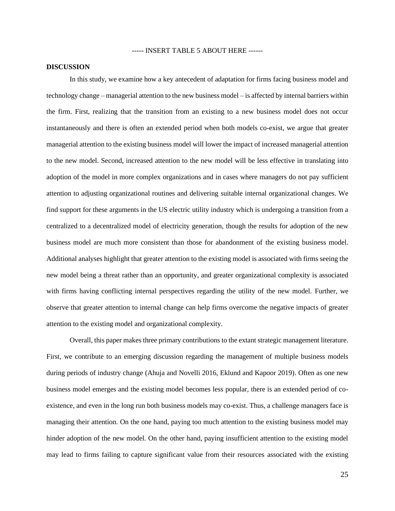----- INSERT TABLE 5 ABOUT HERE ------

#### **DISCUSSION**

In this study, we examine how a key antecedent of adaptation for firms facing business model and technology change – managerial attention to the new business model – is affected by internal barriers within the firm. First, realizing that the transition from an existing to a new business model does not occur instantaneously and there is often an extended period when both models co-exist, we argue that greater managerial attention to the existing business model will lower the impact of increased managerial attention to the new model. Second, increased attention to the new model will be less effective in translating into adoption of the model in more complex organizations and in cases where managers do not pay sufficient attention to adjusting organizational routines and delivering suitable internal organizational changes. We find support for these arguments in the US electric utility industry which is undergoing a transition from a centralized to a decentralized model of electricity generation, though the results for adoption of the new business model are much more consistent than those for abandonment of the existing business model. Additional analyses highlight that greater attention to the existing model is associated with firms seeing the new model being a threat rather than an opportunity, and greater organizational complexity is associated with firms having conflicting internal perspectives regarding the utility of the new model. Further, we observe that greater attention to internal change can help firms overcome the negative impacts of greater attention to the existing model and organizational complexity.

Overall, this paper makes three primary contributions to the extant strategic management literature. First, we contribute to an emerging discussion regarding the management of multiple business models during periods of industry change (Ahuja and Novelli 2016, Eklund and Kapoor 2019). Often as one new business model emerges and the existing model becomes less popular, there is an extended period of coexistence, and even in the long run both business models may co-exist. Thus, a challenge managers face is managing their attention. On the one hand, paying too much attention to the existing business model may hinder adoption of the new model. On the other hand, paying insufficient attention to the existing model may lead to firms failing to capture significant value from their resources associated with the existing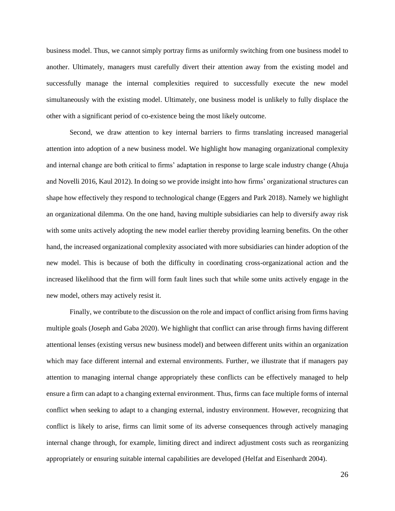business model. Thus, we cannot simply portray firms as uniformly switching from one business model to another. Ultimately, managers must carefully divert their attention away from the existing model and successfully manage the internal complexities required to successfully execute the new model simultaneously with the existing model. Ultimately, one business model is unlikely to fully displace the other with a significant period of co-existence being the most likely outcome.

Second, we draw attention to key internal barriers to firms translating increased managerial attention into adoption of a new business model. We highlight how managing organizational complexity and internal change are both critical to firms' adaptation in response to large scale industry change (Ahuja and Novelli 2016, Kaul 2012). In doing so we provide insight into how firms' organizational structures can shape how effectively they respond to technological change (Eggers and Park 2018). Namely we highlight an organizational dilemma. On the one hand, having multiple subsidiaries can help to diversify away risk with some units actively adopting the new model earlier thereby providing learning benefits. On the other hand, the increased organizational complexity associated with more subsidiaries can hinder adoption of the new model. This is because of both the difficulty in coordinating cross-organizational action and the increased likelihood that the firm will form fault lines such that while some units actively engage in the new model, others may actively resist it.

Finally, we contribute to the discussion on the role and impact of conflict arising from firms having multiple goals (Joseph and Gaba 2020). We highlight that conflict can arise through firms having different attentional lenses (existing versus new business model) and between different units within an organization which may face different internal and external environments. Further, we illustrate that if managers pay attention to managing internal change appropriately these conflicts can be effectively managed to help ensure a firm can adapt to a changing external environment. Thus, firms can face multiple forms of internal conflict when seeking to adapt to a changing external, industry environment. However, recognizing that conflict is likely to arise, firms can limit some of its adverse consequences through actively managing internal change through, for example, limiting direct and indirect adjustment costs such as reorganizing appropriately or ensuring suitable internal capabilities are developed (Helfat and Eisenhardt 2004).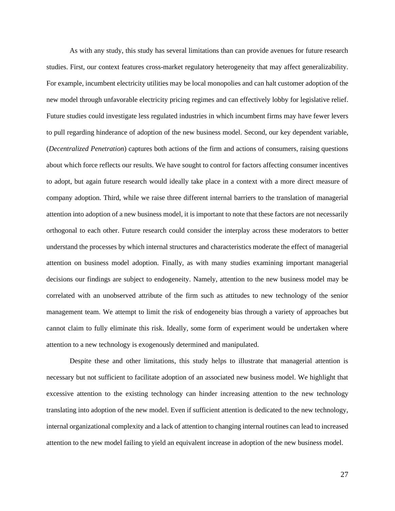As with any study, this study has several limitations than can provide avenues for future research studies. First, our context features cross-market regulatory heterogeneity that may affect generalizability. For example, incumbent electricity utilities may be local monopolies and can halt customer adoption of the new model through unfavorable electricity pricing regimes and can effectively lobby for legislative relief. Future studies could investigate less regulated industries in which incumbent firms may have fewer levers to pull regarding hinderance of adoption of the new business model. Second, our key dependent variable, (*Decentralized Penetration*) captures both actions of the firm and actions of consumers, raising questions about which force reflects our results. We have sought to control for factors affecting consumer incentives to adopt, but again future research would ideally take place in a context with a more direct measure of company adoption. Third, while we raise three different internal barriers to the translation of managerial attention into adoption of a new business model, it is important to note that these factors are not necessarily orthogonal to each other. Future research could consider the interplay across these moderators to better understand the processes by which internal structures and characteristics moderate the effect of managerial attention on business model adoption. Finally, as with many studies examining important managerial decisions our findings are subject to endogeneity. Namely, attention to the new business model may be correlated with an unobserved attribute of the firm such as attitudes to new technology of the senior management team. We attempt to limit the risk of endogeneity bias through a variety of approaches but cannot claim to fully eliminate this risk. Ideally, some form of experiment would be undertaken where attention to a new technology is exogenously determined and manipulated.

Despite these and other limitations, this study helps to illustrate that managerial attention is necessary but not sufficient to facilitate adoption of an associated new business model. We highlight that excessive attention to the existing technology can hinder increasing attention to the new technology translating into adoption of the new model. Even if sufficient attention is dedicated to the new technology, internal organizational complexity and a lack of attention to changing internal routines can lead to increased attention to the new model failing to yield an equivalent increase in adoption of the new business model.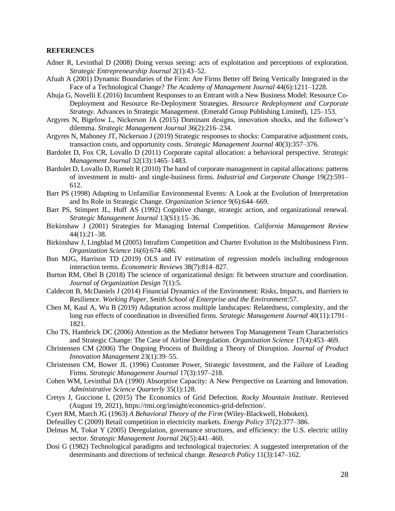#### **REFERENCES**

- Adner R, Levinthal D (2008) Doing versus seeing: acts of exploitation and perceptions of exploration. *Strategic Entrepreneurship Journal* 2(1):43–52.
- Afuah A (2001) Dynamic Boundaries of the Firm: Are Firms Better off Being Vertically Integrated in the Face of a Technological Change? *The Academy of Management Journal* 44(6):1211–1228.
- Ahuja G, Novelli E (2016) Incumbent Responses to an Entrant with a New Business Model: Resource Co-Deployment and Resource Re-Deployment Strategies. *Resource Redeployment and Corporate Strategy*. Advances in Strategic Management. (Emerald Group Publishing Limited), 125–153.
- Argyres N, Bigelow L, Nickerson JA (2015) Dominant designs, innovation shocks, and the follower's dilemma. *Strategic Management Journal* 36(2):216–234.
- Argyres N, Mahoney JT, Nickerson J (2019) Strategic responses to shocks: Comparative adjustment costs, transaction costs, and opportunity costs. *Strategic Management Journal* 40(3):357–376.
- Bardolet D, Fox CR, Lovallo D (2011) Corporate capital allocation: a behavioral perspective. *Strategic Management Journal* 32(13):1465–1483.
- Bardolet D, Lovallo D, Rumelt R (2010) The hand of corporate management in capital allocations: patterns of investment in multi- and single-business firms. *Industrial and Corporate Change* 19(2):591– 612.
- Barr PS (1998) Adapting to Unfamiliar Environmental Events: A Look at the Evolution of Interpretation and Its Role in Strategic Change. *Organization Science* 9(6):644–669.
- Barr PS, Stimpert JL, Huff AS (1992) Cognitive change, strategic action, and organizational renewal. *Strategic Management Journal* 13(S1):15–36.
- Birkinshaw J (2001) Strategies for Managing Internal Competition. *California Management Review* 44(1):21–38.
- Birkinshaw J, Lingblad M (2005) Intrafirm Competition and Charter Evolution in the Multibusiness Firm. *Organization Science* 16(6):674–686.
- Bun MJG, Harrison TD (2019) OLS and IV estimation of regression models including endogenous interaction terms. *Econometric Reviews* 38(7):814–827.
- Burton RM, Obel B (2018) The science of organizational design: fit between structure and coordination. *Journal of Organization Design* 7(1):5.
- Caldecott B, McDaniels J (2014) Financial Dynamics of the Environment: Risks, Impacts, and Barriers to Resilience. *Working Paper, Smith School of Enterprise and the Environment*:57.
- Chen M, Kaul A, Wu B (2019) Adaptation across multiple landscapes: Relatedness, complexity, and the long run effects of coordination in diversified firms. *Strategic Management Journal* 40(11):1791– 1821.
- Cho TS, Hambrick DC (2006) Attention as the Mediator between Top Management Team Characteristics and Strategic Change: The Case of Airline Deregulation. *Organization Science* 17(4):453–469.
- Christensen CM (2006) The Ongoing Process of Building a Theory of Disruption. *Journal of Product Innovation Management* 23(1):39–55.
- Christensen CM, Bower JL (1996) Customer Power, Strategic Investment, and the Failure of Leading Firms. *Strategic Management Journal* 17(3):197–218.
- Cohen WM, Levinthal DA (1990) Absorptive Capacity: A New Perspective on Learning and Innovation. *Administrative Science Quarterly* 35(1):128.
- Cretys J, Guccione L (2015) The Economics of Grid Defection. *Rocky Mountain Institute*. Retrieved (August 19, 2021), https://rmi.org/insight/economics-grid-defection/.
- Cyert RM, March JG (1963) *A Behavioral Theory of the Firm* (Wiley-Blackwell, Hoboken).
- Defeuilley C (2009) Retail competition in electricity markets. *Energy Policy* 37(2):377–386.
- Delmas M, Tokat Y (2005) Deregulation, governance structures, and efficiency: the U.S. electric utility sector. *Strategic Management Journal* 26(5):441–460.
- Dosi G (1982) Technological paradigms and technological trajectories: A suggested interpretation of the determinants and directions of technical change. *Research Policy* 11(3):147–162.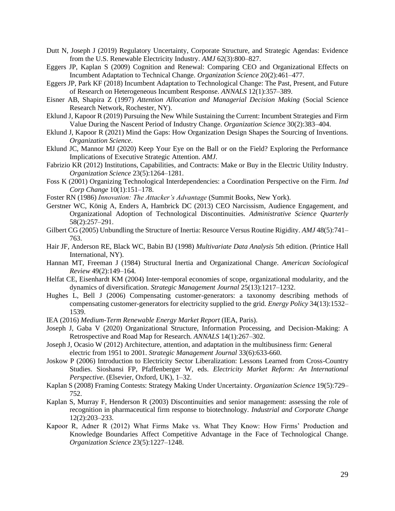- Dutt N, Joseph J (2019) Regulatory Uncertainty, Corporate Structure, and Strategic Agendas: Evidence from the U.S. Renewable Electricity Industry. *AMJ* 62(3):800–827.
- Eggers JP, Kaplan S (2009) Cognition and Renewal: Comparing CEO and Organizational Effects on Incumbent Adaptation to Technical Change. *Organization Science* 20(2):461–477.
- Eggers JP, Park KF (2018) Incumbent Adaptation to Technological Change: The Past, Present, and Future of Research on Heterogeneous Incumbent Response. *ANNALS* 12(1):357–389.
- Eisner AB, Shapira Z (1997) *Attention Allocation and Managerial Decision Making* (Social Science Research Network, Rochester, NY).
- Eklund J, Kapoor R (2019) Pursuing the New While Sustaining the Current: Incumbent Strategies and Firm Value During the Nascent Period of Industry Change. *Organization Science* 30(2):383–404.
- Eklund J, Kapoor R (2021) Mind the Gaps: How Organization Design Shapes the Sourcing of Inventions. *Organization Science*.
- Eklund JC, Mannor MJ (2020) Keep Your Eye on the Ball or on the Field? Exploring the Performance Implications of Executive Strategic Attention. *AMJ*.
- Fabrizio KR (2012) Institutions, Capabilities, and Contracts: Make or Buy in the Electric Utility Industry. *Organization Science* 23(5):1264–1281.
- Foss K (2001) Organizing Technological Interdependencies: a Coordination Perspective on the Firm. *Ind Corp Change* 10(1):151–178.
- Foster RN (1986) *Innovation: The Attacker's Advantage* (Summit Books, New York).
- Gerstner WC, König A, Enders A, Hambrick DC (2013) CEO Narcissism, Audience Engagement, and Organizational Adoption of Technological Discontinuities. *Administrative Science Quarterly* 58(2):257–291.
- Gilbert CG (2005) Unbundling the Structure of Inertia: Resource Versus Routine Rigidity. *AMJ* 48(5):741– 763.
- Hair JF, Anderson RE, Black WC, Babin BJ (1998) *Multivariate Data Analysis* 5th edition. (Printice Hall International, NY).
- Hannan MT, Freeman J (1984) Structural Inertia and Organizational Change. *American Sociological Review* 49(2):149–164.
- Helfat CE, Eisenhardt KM (2004) Inter-temporal economies of scope, organizational modularity, and the dynamics of diversification. *Strategic Management Journal* 25(13):1217–1232.
- Hughes L, Bell J (2006) Compensating customer-generators: a taxonomy describing methods of compensating customer-generators for electricity supplied to the grid. *Energy Policy* 34(13):1532– 1539.
- IEA (2016) *Medium-Term Renewable Energy Market Report* (IEA, Paris).
- Joseph J, Gaba V (2020) Organizational Structure, Information Processing, and Decision-Making: A Retrospective and Road Map for Research. *ANNALS* 14(1):267–302.
- Joseph J, Ocasio W (2012) Architecture, attention, and adaptation in the multibusiness firm: General electric from 1951 to 2001. *Strategic Management Journal* 33(6):633-660.
- Joskow P (2006) Introduction to Electricity Sector Liberalization: Lessons Learned from Cross-Country Studies. Sioshansi FP, Pfaffenberger W, eds. *Electricity Market Reform: An International Perspective*. (Elsevier, Oxford, UK), 1–32.
- Kaplan S (2008) Framing Contests: Strategy Making Under Uncertainty. *Organization Science* 19(5):729– 752.
- Kaplan S, Murray F, Henderson R (2003) Discontinuities and senior management: assessing the role of recognition in pharmaceutical firm response to biotechnology. *Industrial and Corporate Change* 12(2):203–233.
- Kapoor R, Adner R (2012) What Firms Make vs. What They Know: How Firms' Production and Knowledge Boundaries Affect Competitive Advantage in the Face of Technological Change. *Organization Science* 23(5):1227–1248.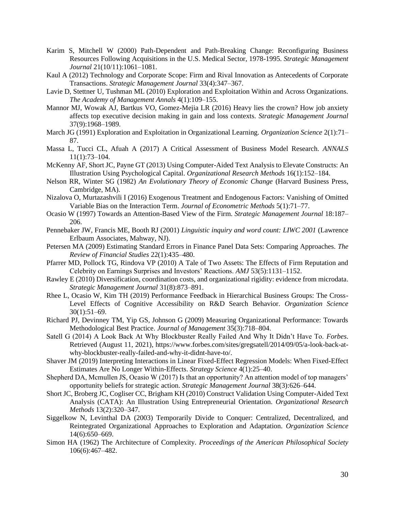- Karim S, Mitchell W (2000) Path-Dependent and Path-Breaking Change: Reconfiguring Business Resources Following Acquisitions in the U.S. Medical Sector, 1978-1995. *Strategic Management Journal* 21(10/11):1061–1081.
- Kaul A (2012) Technology and Corporate Scope: Firm and Rival Innovation as Antecedents of Corporate Transactions. *Strategic Management Journal* 33(4):347–367.
- Lavie D, Stettner U, Tushman ML (2010) Exploration and Exploitation Within and Across Organizations. *The Academy of Management Annals* 4(1):109–155.
- Mannor MJ, Wowak AJ, Bartkus VO, Gomez-Mejia LR (2016) Heavy lies the crown? How job anxiety affects top executive decision making in gain and loss contexts. *Strategic Management Journal* 37(9):1968–1989.
- March JG (1991) Exploration and Exploitation in Organizational Learning. *Organization Science* 2(1):71– 87.
- Massa L, Tucci CL, Afuah A (2017) A Critical Assessment of Business Model Research. *ANNALS* 11(1):73–104.
- McKenny AF, Short JC, Payne GT (2013) Using Computer-Aided Text Analysis to Elevate Constructs: An Illustration Using Psychological Capital. *Organizational Research Methods* 16(1):152–184.
- Nelson RR, Winter SG (1982) *An Evolutionary Theory of Economic Change* (Harvard Business Press, Cambridge, MA).
- Nizalova O, Murtazashvili I (2016) Exogenous Treatment and Endogenous Factors: Vanishing of Omitted Variable Bias on the Interaction Term. *Journal of Econometric Methods* 5(1):71–77.
- Ocasio W (1997) Towards an Attention-Based View of the Firm. *Strategic Management Journal* 18:187– 206.
- Pennebaker JW, Francis ME, Booth RJ (2001) *Linguistic inquiry and word count: LIWC 2001* (Lawrence Erlbaum Associates, Mahway, NJ).
- Petersen MA (2009) Estimating Standard Errors in Finance Panel Data Sets: Comparing Approaches. *The Review of Financial Studies* 22(1):435–480.
- Pfarrer MD, Pollock TG, Rindova VP (2010) A Tale of Two Assets: The Effects of Firm Reputation and Celebrity on Earnings Surprises and Investors' Reactions. *AMJ* 53(5):1131–1152.
- Rawley E (2010) Diversification, coordination costs, and organizational rigidity: evidence from microdata. *Strategic Management Journal* 31(8):873–891.
- Rhee L, Ocasio W, Kim TH (2019) Performance Feedback in Hierarchical Business Groups: The Cross-Level Effects of Cognitive Accessibility on R&D Search Behavior. *Organization Science* 30(1):51–69.
- Richard PJ, Devinney TM, Yip GS, Johnson G (2009) Measuring Organizational Performance: Towards Methodological Best Practice. *Journal of Management* 35(3):718–804.
- Satell G (2014) A Look Back At Why Blockbuster Really Failed And Why It Didn't Have To. *Forbes*. Retrieved (August 11, 2021), https://www.forbes.com/sites/gregsatell/2014/09/05/a-look-back-atwhy-blockbuster-really-failed-and-why-it-didnt-have-to/.
- Shaver JM (2019) Interpreting Interactions in Linear Fixed-Effect Regression Models: When Fixed-Effect Estimates Are No Longer Within-Effects. *Strategy Science* 4(1):25–40.
- Shepherd DA, Mcmullen JS, Ocasio W (2017) Is that an opportunity? An attention model of top managers' opportunity beliefs for strategic action. *Strategic Management Journal* 38(3):626–644.
- Short JC, Broberg JC, Cogliser CC, Brigham KH (2010) Construct Validation Using Computer-Aided Text Analysis (CATA): An Illustration Using Entrepreneurial Orientation. *Organizational Research Methods* 13(2):320–347.
- Siggelkow N, Levinthal DA (2003) Temporarily Divide to Conquer: Centralized, Decentralized, and Reintegrated Organizational Approaches to Exploration and Adaptation. *Organization Science* 14(6):650–669.
- Simon HA (1962) The Architecture of Complexity. *Proceedings of the American Philosophical Society* 106(6):467–482.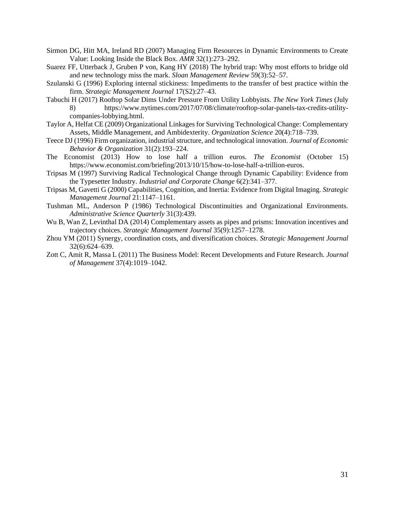- Sirmon DG, Hitt MA, Ireland RD (2007) Managing Firm Resources in Dynamic Environments to Create Value: Looking Inside the Black Box. *AMR* 32(1):273–292.
- Suarez FF, Utterback J, Gruben P von, Kang HY (2018) The hybrid trap: Why most efforts to bridge old and new technology miss the mark. *Sloan Management Review* 59(3):52–57.
- Szulanski G (1996) Exploring internal stickiness: Impediments to the transfer of best practice within the firm. *Strategic Management Journal* 17(S2):27–43.
- Tabuchi H (2017) Rooftop Solar Dims Under Pressure From Utility Lobbyists. *The New York Times* (July 8) https://www.nytimes.com/2017/07/08/climate/rooftop-solar-panels-tax-credits-utilitycompanies-lobbying.html.
- Taylor A, Helfat CE (2009) Organizational Linkages for Surviving Technological Change: Complementary Assets, Middle Management, and Ambidexterity. *Organization Science* 20(4):718–739.
- Teece DJ (1996) Firm organization, industrial structure, and technological innovation. *Journal of Economic Behavior & Organization* 31(2):193–224.
- The Economist (2013) How to lose half a trillion euros. *The Economist* (October 15) https://www.economist.com/briefing/2013/10/15/how-to-lose-half-a-trillion-euros.
- Tripsas M (1997) Surviving Radical Technological Change through Dynamic Capability: Evidence from the Typesetter Industry. *Industrial and Corporate Change* 6(2):341–377.
- Tripsas M, Gavetti G (2000) Capabilities, Cognition, and Inertia: Evidence from Digital Imaging. *Strategic Management Journal* 21:1147–1161.
- Tushman ML, Anderson P (1986) Technological Discontinuities and Organizational Environments. *Administrative Science Quarterly* 31(3):439.
- Wu B, Wan Z, Levinthal DA (2014) Complementary assets as pipes and prisms: Innovation incentives and trajectory choices. *Strategic Management Journal* 35(9):1257–1278.
- Zhou YM (2011) Synergy, coordination costs, and diversification choices. *Strategic Management Journal* 32(6):624–639.
- Zott C, Amit R, Massa L (2011) The Business Model: Recent Developments and Future Research. *Journal of Management* 37(4):1019–1042.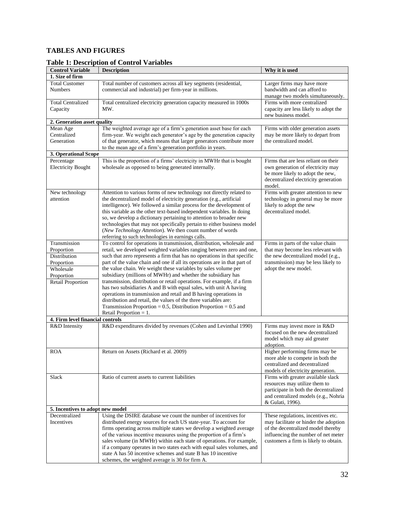## **TABLES AND FIGURES**

## <span id="page-31-0"></span>**Table 1: Description of Control Variables**

|                                         | тарк т. резенрион от соци от у атпарку                                                                                                                                                                                                                                                                                                                                                                                                                                                                                                                         |                                                                                                                                                                 |
|-----------------------------------------|----------------------------------------------------------------------------------------------------------------------------------------------------------------------------------------------------------------------------------------------------------------------------------------------------------------------------------------------------------------------------------------------------------------------------------------------------------------------------------------------------------------------------------------------------------------|-----------------------------------------------------------------------------------------------------------------------------------------------------------------|
| <b>Control Variable</b>                 | <b>Description</b>                                                                                                                                                                                                                                                                                                                                                                                                                                                                                                                                             | Why it is used                                                                                                                                                  |
| 1. Size of firm                         |                                                                                                                                                                                                                                                                                                                                                                                                                                                                                                                                                                |                                                                                                                                                                 |
| <b>Total Customer</b><br><b>Numbers</b> | Total number of customers across all key segments (residential,<br>commercial and industrial) per firm-year in millions.                                                                                                                                                                                                                                                                                                                                                                                                                                       | Larger firms may have more<br>bandwidth and can afford to<br>manage two models simultaneously.                                                                  |
| <b>Total Centralized</b><br>Capacity    | Total centralized electricity generation capacity measured in 1000s<br>MW.                                                                                                                                                                                                                                                                                                                                                                                                                                                                                     | Firms with more centralized<br>capacity are less likely to adopt the<br>new business model.                                                                     |
| 2. Generation asset quality             |                                                                                                                                                                                                                                                                                                                                                                                                                                                                                                                                                                |                                                                                                                                                                 |
| Mean Age                                | The weighted average age of a firm's generation asset base for each                                                                                                                                                                                                                                                                                                                                                                                                                                                                                            | Firms with older generation assets                                                                                                                              |
| Centralized<br>Generation               | firm-year. We weight each generator's age by the generation capacity<br>of that generator, which means that larger generators contribute more<br>to the mean age of a firm's generation portfolio in years.                                                                                                                                                                                                                                                                                                                                                    | may be more likely to depart from<br>the centralized model.                                                                                                     |
| 3. Operational Scope                    |                                                                                                                                                                                                                                                                                                                                                                                                                                                                                                                                                                |                                                                                                                                                                 |
| Percentage<br><b>Electricity Bought</b> | This is the proportion of a firms' electricity in MWHr that is bought<br>wholesale as opposed to being generated internally.                                                                                                                                                                                                                                                                                                                                                                                                                                   | Firms that are less reliant on their<br>own generation of electricity may<br>be more likely to adopt the new,<br>decentralized electricity generation<br>model. |
| New technology<br>attention             | Attention to various forms of new technology not directly related to<br>the decentralized model of electricity generation (e.g., artificial<br>intelligence). We followed a similar process for the development of<br>this variable as the other text-based independent variables. In doing<br>so, we develop a dictionary pertaining to attention to broader new<br>technologies that may not specifically pertain to either business model<br>(New Technology Attention). We then count number of words<br>referring to such technologies in earnings calls. | Firms with greater attention to new<br>technology in general may be more<br>likely to adopt the new<br>decentralized model.                                     |
| Transmission                            | To control for operations in transmission, distribution, wholesale and                                                                                                                                                                                                                                                                                                                                                                                                                                                                                         | Firms in parts of the value chain                                                                                                                               |
| Proportion                              | retail, we developed weighted variables ranging between zero and one,                                                                                                                                                                                                                                                                                                                                                                                                                                                                                          | that may become less relevant with                                                                                                                              |
| Distribution                            | such that zero represents a firm that has no operations in that specific                                                                                                                                                                                                                                                                                                                                                                                                                                                                                       | the new decentralized model (e.g.,                                                                                                                              |
| Proportion                              | part of the value chain and one if all its operations are in that part of                                                                                                                                                                                                                                                                                                                                                                                                                                                                                      | transmission) may be less likely to                                                                                                                             |
| Wholesale                               | the value chain. We weight these variables by sales volume per                                                                                                                                                                                                                                                                                                                                                                                                                                                                                                 | adopt the new model.                                                                                                                                            |
| Proportion                              | subsidiary (millions of MWHr) and whether the subsidiary has                                                                                                                                                                                                                                                                                                                                                                                                                                                                                                   |                                                                                                                                                                 |
| <b>Retail Proportion</b>                | transmission, distribution or retail operations. For example, if a firm                                                                                                                                                                                                                                                                                                                                                                                                                                                                                        |                                                                                                                                                                 |
|                                         | has two subsidiaries A and B with equal sales, with unit A having                                                                                                                                                                                                                                                                                                                                                                                                                                                                                              |                                                                                                                                                                 |
|                                         | operations in transmission and retail and B having operations in                                                                                                                                                                                                                                                                                                                                                                                                                                                                                               |                                                                                                                                                                 |
|                                         | distribution and retail, the values of the three variables are:                                                                                                                                                                                                                                                                                                                                                                                                                                                                                                |                                                                                                                                                                 |
|                                         | Transmission Proportion = $0.5$ , Distribution Proportion = $0.5$ and                                                                                                                                                                                                                                                                                                                                                                                                                                                                                          |                                                                                                                                                                 |
|                                         | Retail Proportion $= 1$ .                                                                                                                                                                                                                                                                                                                                                                                                                                                                                                                                      |                                                                                                                                                                 |
| 4. Firm level financial controls        |                                                                                                                                                                                                                                                                                                                                                                                                                                                                                                                                                                |                                                                                                                                                                 |
| R&D Intensity                           | R&D expenditures divided by revenues (Cohen and Levinthal 1990)                                                                                                                                                                                                                                                                                                                                                                                                                                                                                                | Firms may invest more in R&D<br>focused on the new decentralized<br>model which may aid greater<br>adoption.                                                    |
| <b>ROA</b>                              | Return on Assets (Richard et al. 2009)                                                                                                                                                                                                                                                                                                                                                                                                                                                                                                                         | Higher performing firms may be                                                                                                                                  |
|                                         |                                                                                                                                                                                                                                                                                                                                                                                                                                                                                                                                                                | more able to compete in both the<br>centralized and decentralized                                                                                               |
|                                         |                                                                                                                                                                                                                                                                                                                                                                                                                                                                                                                                                                | models of electricity generation.                                                                                                                               |
| Slack                                   | Ratio of current assets to current liabilities                                                                                                                                                                                                                                                                                                                                                                                                                                                                                                                 | Firms with greater available slack                                                                                                                              |
|                                         |                                                                                                                                                                                                                                                                                                                                                                                                                                                                                                                                                                | resources may utilize them to                                                                                                                                   |
|                                         |                                                                                                                                                                                                                                                                                                                                                                                                                                                                                                                                                                | participate in both the decentralized                                                                                                                           |
|                                         |                                                                                                                                                                                                                                                                                                                                                                                                                                                                                                                                                                | and centralized models (e.g., Nohria                                                                                                                            |
|                                         |                                                                                                                                                                                                                                                                                                                                                                                                                                                                                                                                                                | & Gulati, 1996).                                                                                                                                                |
| 5. Incentives to adopt new model        |                                                                                                                                                                                                                                                                                                                                                                                                                                                                                                                                                                |                                                                                                                                                                 |
| Decentralized                           | Using the DSIRE database we count the number of incentives for                                                                                                                                                                                                                                                                                                                                                                                                                                                                                                 | These regulations, incentives etc.                                                                                                                              |
| Incentives                              | distributed energy sources for each US state-year. To account for                                                                                                                                                                                                                                                                                                                                                                                                                                                                                              | may facilitate or hinder the adoption                                                                                                                           |
|                                         | firms operating across multiple states we develop a weighted average                                                                                                                                                                                                                                                                                                                                                                                                                                                                                           | of the decentralized model thereby                                                                                                                              |
|                                         | of the various incentive measures using the proportion of a firm's                                                                                                                                                                                                                                                                                                                                                                                                                                                                                             | influencing the number of net meter                                                                                                                             |
|                                         | sales volume (in MWHr) within each state of operations. For example,<br>if a company operates in two states each with equal sales volumes, and                                                                                                                                                                                                                                                                                                                                                                                                                 | customers a firm is likely to obtain.                                                                                                                           |
|                                         | state A has 50 incentive schemes and state B has 10 incentive                                                                                                                                                                                                                                                                                                                                                                                                                                                                                                  |                                                                                                                                                                 |
|                                         | schemes, the weighted average is 30 for firm A.                                                                                                                                                                                                                                                                                                                                                                                                                                                                                                                |                                                                                                                                                                 |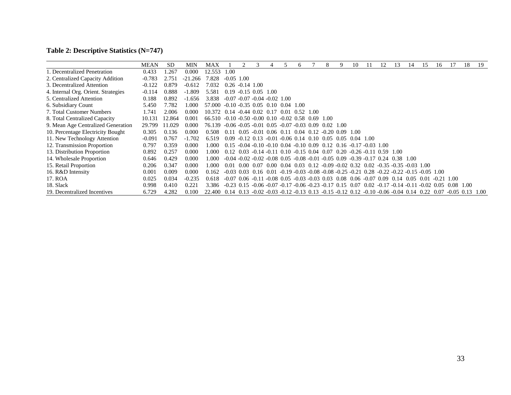# **Table 2: Descriptive Statistics (N=747)**

<span id="page-32-0"></span>

|                                     | <b>MEAN</b> | <b>SD</b> | MIN       | MAX                                                                                                        |                                                                                                                  |                                                                                                                                               |      |             | h.                                                              |      | 8                                    | 10 | 11                  | 13        | 14 | 15 | 16           |             | 18 | 19   |
|-------------------------------------|-------------|-----------|-----------|------------------------------------------------------------------------------------------------------------|------------------------------------------------------------------------------------------------------------------|-----------------------------------------------------------------------------------------------------------------------------------------------|------|-------------|-----------------------------------------------------------------|------|--------------------------------------|----|---------------------|-----------|----|----|--------------|-------------|----|------|
| 1. Decentralized Penetration        | 0.433       | .267      | 0.000     | 12.553                                                                                                     | 1.00                                                                                                             |                                                                                                                                               |      |             |                                                                 |      |                                      |    |                     |           |    |    |              |             |    |      |
| 2. Centralized Capacity Addition    | $-0.783$    | 2.751     | $-21.266$ | 7.828                                                                                                      | $-0.05$ 1.00                                                                                                     |                                                                                                                                               |      |             |                                                                 |      |                                      |    |                     |           |    |    |              |             |    |      |
| 3. Decentralized Attention          | $-0.122$    | 0.879     | $-0.612$  | 7.032                                                                                                      |                                                                                                                  | $0.26 - 0.14$ 1.00                                                                                                                            |      |             |                                                                 |      |                                      |    |                     |           |    |    |              |             |    |      |
| 4. Internal Org. Orient. Strategies | $-0.114$    | 0.888     | $-1.809$  | 5.581                                                                                                      |                                                                                                                  | $0.19 - 0.15$ $0.05$ $1.00$                                                                                                                   |      |             |                                                                 |      |                                      |    |                     |           |    |    |              |             |    |      |
| 5. Centralized Attention            | 0.188       | 0.892     | $-1.656$  | 3.838                                                                                                      | $-0.07 - 0.07 - 0.04 - 0.02$ 1.00                                                                                |                                                                                                                                               |      |             |                                                                 |      |                                      |    |                     |           |    |    |              |             |    |      |
| 6. Subsidiary Count                 | 5.450       | 7.782     | 1.000     | 57.000                                                                                                     | $-0.10 - 0.35$ 0.05                                                                                              |                                                                                                                                               | 0.10 | $0.04$ 1.00 |                                                                 |      |                                      |    |                     |           |    |    |              |             |    |      |
| 7. Total Customer Numbers           | l.741       | 2.006     | 0.000     | 10.372 0.14 -0.44 0.02 0.17                                                                                |                                                                                                                  |                                                                                                                                               |      | 0.01        | 0.52                                                            | 1.00 |                                      |    |                     |           |    |    |              |             |    |      |
| 8. Total Centralized Capacity       | 10.131      | 12.864    | 0.001     | 66.510 -0.10 -0.50 -0.00 0.10 -0.02 0.58 0.69 1.00                                                         |                                                                                                                  |                                                                                                                                               |      |             |                                                                 |      |                                      |    |                     |           |    |    |              |             |    |      |
| 9. Mean Age Centralized Generation  | 29.799      | 11.029    | 0.000     | 76.139                                                                                                     | $-0.06 - 0.05 - 0.01 - 0.05 - 0.07 - 0.03 - 0.09$                                                                |                                                                                                                                               |      |             |                                                                 |      | 0.02 1.00                            |    |                     |           |    |    |              |             |    |      |
| 10. Percentage Electricity Bought   | 0.305       | 0.136     | 0.000     | 0.508                                                                                                      | 0.11                                                                                                             | $0.05 - 0.01$ $0.06$ $0.11$ $0.04$ $0.12 - 0.20$ $0.09$ $1.00$                                                                                |      |             |                                                                 |      |                                      |    |                     |           |    |    |              |             |    |      |
| 11. New Technology Attention        | $-0.091$    | 0.767     | $-1.702$  | 6.519                                                                                                      |                                                                                                                  | $0.09 - 0.12$ $0.13 - 0.01 - 0.06$ $0.14$ $0.10$ $0.05$ $0.05$ $0.04$ $1.00$                                                                  |      |             |                                                                 |      |                                      |    |                     |           |    |    |              |             |    |      |
| 12. Transmission Proportion         | 0.797       | 0.359     | 0.000     | 1.000                                                                                                      | 0.15                                                                                                             | $-0.04 - 0.10 - 0.10$ $0.04 - 0.10$ $0.09$                                                                                                    |      |             |                                                                 |      | $0.12$ $0.16$ $-0.17$ $-0.03$ $1.00$ |    |                     |           |    |    |              |             |    |      |
| 13. Distribution Proportion         | 0.892       | 0.257     | 0.000     | 1.000                                                                                                      | 0.12                                                                                                             | 0.03                                                                                                                                          |      |             | $-0.14 - 0.11$ 0.10 $-0.15$ 0.04 0.07 0.20 $-0.26$ $-0.11$ 0.59 |      |                                      |    |                     | -1.00     |    |    |              |             |    |      |
| 14. Wholesale Proportion            | 0.646       | 0.429     | 0.000     | 1.000                                                                                                      |                                                                                                                  | $-0.04 - 0.02 - 0.02 - 0.08 - 0.05 - 0.08 - 0.01 - 0.05 - 0.09$                                                                               |      |             |                                                                 |      |                                      |    | $-0.39 - 0.17$ 0.24 | 0.38 1.00 |    |    |              |             |    |      |
| 15. Retail Proportion               | 0.206       | 0.347     | 0.000     | 1.000                                                                                                      | 0.01                                                                                                             | $0.00\quad 0.07\quad 0.00\quad 0.04\quad 0.03\quad 0.12\quad -0.09\quad -0.02\quad 0.32\quad 0.02\quad -0.35\quad -0.35\quad -0.03\quad 1.00$ |      |             |                                                                 |      |                                      |    |                     |           |    |    |              |             |    |      |
| 16. R&D Intensity                   | 0.001       | 0.009     | 0.000     | 0.162                                                                                                      |                                                                                                                  | $-0.03$ $0.03$ $0.16$ $0.01$ $-0.19$ $-0.03$ $-0.08$ $-0.08$ $-0.25$ $-0.21$ $0.28$ $-0.22$ $-0.22$ $-0.15$ $-0.05$ $1.00$                    |      |             |                                                                 |      |                                      |    |                     |           |    |    |              |             |    |      |
| 17. ROA                             | 0.025       | 0.034     | $-0.235$  | 0.618                                                                                                      | $-0.07$ 0.06 $-0.11$ $-0.08$ 0.05 $-0.03$ $-0.03$ 0.03 0.08 0.06 $-0.07$ 0.09 0.14 0.05 0.01                     |                                                                                                                                               |      |             |                                                                 |      |                                      |    |                     |           |    |    | $-0.21$ 1.00 |             |    |      |
| 18. Slack                           | 0.998       | 0.410     | 0.221     | 3.386                                                                                                      | $-0.23$ 0.15 $-0.06$ $-0.07$ $-0.17$ $-0.06$ $-0.23$ $-0.17$ 0.15 0.07 0.02 $-0.17$ $-0.14$ $-0.11$ $-0.02$ 0.05 |                                                                                                                                               |      |             |                                                                 |      |                                      |    |                     |           |    |    |              | $0.08$ 1.00 |    |      |
| 19. Decentralized Incentives        | 6.729       | 4.282     | 0.100     | 22.400 0.14 0.13 -0.02 -0.03 -0.12 -0.13 0.13 -0.15 -0.12 0.12 -0.10 -0.06 -0.04 0.14 0.22 0.07 -0.05 0.13 |                                                                                                                  |                                                                                                                                               |      |             |                                                                 |      |                                      |    |                     |           |    |    |              |             |    | 1.00 |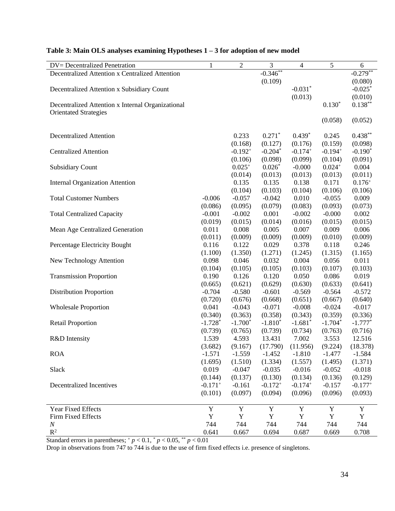| <b>DV</b> = Decentralized Penetration             | $\mathbf{1}$ | $\sqrt{2}$  | 3            | $\overline{4}$ | 5           | $\sqrt{6}$ |
|---------------------------------------------------|--------------|-------------|--------------|----------------|-------------|------------|
| Decentralized Attention x Centralized Attention   |              |             | $-0.346**$   |                |             | $-0.279**$ |
|                                                   |              |             | (0.109)      |                |             | (0.080)    |
| Decentralized Attention x Subsidiary Count        |              |             |              | $-0.031*$      |             | $-0.025*$  |
|                                                   |              |             |              | (0.013)        |             | (0.010)    |
| Decentralized Attention x Internal Organizational |              |             |              |                | $0.130*$    | $0.138***$ |
| <b>Orientated Strategies</b>                      |              |             |              |                |             |            |
|                                                   |              |             |              |                | (0.058)     | (0.052)    |
|                                                   |              |             |              |                |             |            |
| <b>Decentralized Attention</b>                    |              | 0.233       | $0.271*$     | $0.439*$       | 0.245       | $0.438**$  |
|                                                   |              | (0.168)     | (0.127)      | (0.176)        | (0.159)     | (0.098)    |
| <b>Centralized Attention</b>                      |              | $-0.192+$   | $-0.204*$    | $-0.174+$      | $-0.194+$   | $-0.190*$  |
|                                                   |              | (0.106)     | (0.098)      | (0.099)        | (0.104)     | (0.091)    |
| <b>Subsidiary Count</b>                           |              | $0.025+$    | $0.026*$     | $-0.000$       | $0.024+$    | 0.004      |
|                                                   |              | (0.014)     | (0.013)      | (0.013)        | (0.013)     | (0.011)    |
| <b>Internal Organization Attention</b>            |              | 0.135       | 0.135        | 0.138          | 0.171       | $0.176+$   |
|                                                   |              | (0.104)     | (0.103)      | (0.104)        | (0.106)     | (0.106)    |
| <b>Total Customer Numbers</b>                     | $-0.006$     | $-0.057$    | $-0.042$     | 0.010          | $-0.055$    | 0.009      |
|                                                   | (0.086)      | (0.095)     | (0.079)      | (0.083)        | (0.093)     | (0.073)    |
| <b>Total Centralized Capacity</b>                 | $-0.001$     | $-0.002$    | 0.001        | $-0.002$       | $-0.000$    | 0.002      |
|                                                   | (0.019)      | (0.015)     | (0.014)      | (0.016)        | (0.015)     | (0.015)    |
| Mean Age Centralized Generation                   | 0.011        | 0.008       | 0.005        | 0.007          | 0.009       | 0.006      |
|                                                   | (0.011)      | (0.009)     | (0.009)      | (0.009)        | (0.010)     | (0.009)    |
| Percentage Electricity Bought                     | 0.116        | 0.122       | 0.029        | 0.378          | 0.118       | 0.246      |
|                                                   | (1.100)      | (1.350)     | (1.271)      | (1.245)        | (1.315)     | (1.165)    |
| New Technology Attention                          | 0.098        | 0.046       | 0.032        | 0.004          | 0.056       | 0.011      |
|                                                   | (0.104)      | (0.105)     | (0.105)      | (0.103)        | (0.107)     | (0.103)    |
| <b>Transmission Proportion</b>                    | 0.190        | 0.126       | 0.120        | 0.050          | 0.086       | 0.019      |
|                                                   | (0.665)      | (0.621)     | (0.629)      | (0.630)        | (0.633)     | (0.641)    |
| <b>Distribution Proportion</b>                    | $-0.704$     | $-0.580$    | $-0.601$     | $-0.569$       | $-0.564$    | $-0.572$   |
|                                                   | (0.720)      | (0.676)     | (0.668)      | (0.651)        | (0.667)     | (0.640)    |
| <b>Wholesale Proportion</b>                       | 0.041        | $-0.043$    | $-0.071$     | $-0.008$       | $-0.024$    | $-0.017$   |
|                                                   | (0.340)      | (0.363)     | (0.358)      | (0.343)        | (0.359)     | (0.336)    |
| <b>Retail Proportion</b>                          | $-1.728*$    | $-1.700*$   | $-1.810*$    | $-1.681*$      | $-1.704*$   | $-1.777*$  |
|                                                   | (0.739)      | (0.765)     | (0.739)      | (0.734)        | (0.763)     | (0.716)    |
| R&D Intensity                                     | 1.539        | 4.593       | 13.431       | 7.002          | 3.553       | 12.516     |
|                                                   | (3.682)      | (9.167)     | (17.790)     | (11.956)       | (9.224)     | (18.378)   |
| <b>ROA</b>                                        | $-1.571$     | $-1.559$    | $-1.452$     | $-1.810$       | $-1.477$    | $-1.584$   |
|                                                   | (1.695)      | (1.510)     | (1.334)      | (1.557)        | (1.495)     | (1.371)    |
| Slack                                             | 0.019        | $-0.047$    | $-0.035$     | $-0.016$       | $-0.052$    | $-0.018$   |
|                                                   | (0.144)      | (0.137)     | (0.130)      | (0.134)        | (0.136)     | (0.129)    |
| <b>Decentralized Incentives</b>                   | $-0.171+$    | $-0.161$    | $-0.172^{+}$ | $-0.174+$      | $-0.157$    | $-0.177+$  |
|                                                   | (0.101)      | (0.097)     | (0.094)      | (0.096)        | (0.096)     | (0.093)    |
|                                                   |              |             |              |                |             |            |
| Year Fixed Effects                                | Y            | Y           | Y            | Y              | Y           | Y          |
| Firm Fixed Effects                                | $\mathbf Y$  | $\mathbf Y$ | $\mathbf Y$  | Y              | $\mathbf Y$ | Y          |
| $\boldsymbol{N}$<br>$R^2$                         | 744          | 744         | 744          | 744            | 744         | 744        |
|                                                   | 0.641        | 0.667       | 0.694        | 0.687          | 0.669       | 0.708      |

# <span id="page-33-0"></span>**Table 3: Main OLS analyses examining Hypotheses 1 – 3 for adoption of new model**

Standard errors in parentheses;  $+p < 0.1$ ,  $p < 0.05$ ,  $p < 0.01$ 

Drop in observations from 747 to 744 is due to the use of firm fixed effects i.e. presence of singletons.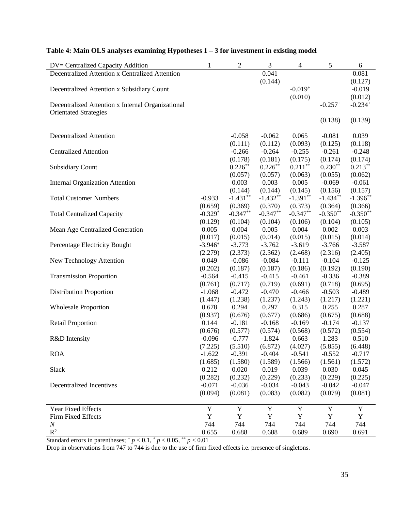| DV= Centralized Capacity Addition                 | $\mathbf{1}$ | $\sqrt{2}$  | 3          | $\overline{4}$ | 5          | $\epsilon$ |
|---------------------------------------------------|--------------|-------------|------------|----------------|------------|------------|
| Decentralized Attention x Centralized Attention   |              |             | 0.041      |                |            | 0.081      |
|                                                   |              |             | (0.144)    |                |            | (0.127)    |
| Decentralized Attention x Subsidiary Count        |              |             |            | $-0.019+$      |            | $-0.019$   |
|                                                   |              |             |            | (0.010)        |            | (0.012)    |
| Decentralized Attention x Internal Organizational |              |             |            |                | $-0.257+$  | $-0.234+$  |
| <b>Orientated Strategies</b>                      |              |             |            |                |            |            |
|                                                   |              |             |            |                | (0.138)    | (0.139)    |
|                                                   |              |             |            |                |            |            |
| <b>Decentralized Attention</b>                    |              | $-0.058$    | $-0.062$   | 0.065          | $-0.081$   | 0.039      |
|                                                   |              | (0.111)     | (0.112)    | (0.093)        | (0.125)    | (0.118)    |
| <b>Centralized Attention</b>                      |              | $-0.266$    | $-0.264$   | $-0.255$       | $-0.261$   | $-0.248$   |
|                                                   |              | (0.178)     | (0.181)    | (0.175)        | (0.174)    | (0.174)    |
|                                                   |              | $0.226***$  | $0.226**$  | $0.211**$      | $0.230**$  | $0.213***$ |
| <b>Subsidiary Count</b>                           |              |             |            |                |            |            |
|                                                   |              | (0.057)     | (0.057)    | (0.063)        | (0.055)    | (0.062)    |
| <b>Internal Organization Attention</b>            |              | 0.003       | 0.003      | 0.005          | $-0.069$   | $-0.061$   |
|                                                   |              | (0.144)     | (0.144)    | (0.145)        | (0.156)    | (0.157)    |
| <b>Total Customer Numbers</b>                     | $-0.933$     | $-1.431***$ | $-1.432**$ | $-1.391**$     | $-1.434**$ | $-1.396**$ |
|                                                   | (0.659)      | (0.369)     | (0.370)    | (0.373)        | (0.364)    | (0.366)    |
| <b>Total Centralized Capacity</b>                 | $-0.329*$    | $-0.347**$  | $-0.347**$ | $-0.347**$     | $-0.350**$ | $-0.350**$ |
|                                                   | (0.129)      | (0.104)     | (0.104)    | (0.106)        | (0.104)    | (0.105)    |
| Mean Age Centralized Generation                   | 0.005        | 0.004       | 0.005      | 0.004          | 0.002      | 0.003      |
|                                                   | (0.017)      | (0.015)     | (0.014)    | (0.015)        | (0.015)    | (0.014)    |
| Percentage Electricity Bought                     | $-3.946+$    | $-3.773$    | $-3.762$   | $-3.619$       | $-3.766$   | $-3.587$   |
|                                                   | (2.279)      | (2.373)     | (2.362)    | (2.468)        | (2.316)    | (2.405)    |
| New Technology Attention                          | 0.049        | $-0.086$    | $-0.084$   | $-0.111$       | $-0.104$   | $-0.125$   |
|                                                   | (0.202)      | (0.187)     | (0.187)    | (0.186)        | (0.192)    | (0.190)    |
| <b>Transmission Proportion</b>                    | $-0.564$     | $-0.415$    | $-0.415$   | $-0.461$       | $-0.336$   | $-0.389$   |
|                                                   | (0.761)      | (0.717)     | (0.719)    | (0.691)        | (0.718)    | (0.695)    |
| <b>Distribution Proportion</b>                    | $-1.068$     | $-0.472$    | $-0.470$   | $-0.466$       | $-0.503$   | $-0.489$   |
|                                                   | (1.447)      | (1.238)     | (1.237)    | (1.243)        | (1.217)    | (1.221)    |
| <b>Wholesale Proportion</b>                       | 0.678        | 0.294       | 0.297      | 0.315          | 0.255      | 0.287      |
|                                                   | (0.937)      | (0.676)     | (0.677)    | (0.686)        | (0.675)    | (0.688)    |
| <b>Retail Proportion</b>                          | 0.144        | $-0.181$    | $-0.168$   | $-0.169$       | $-0.174$   | $-0.137$   |
|                                                   | (0.676)      | (0.577)     | (0.574)    | (0.568)        | (0.572)    | (0.554)    |
| R&D Intensity                                     | $-0.096$     | $-0.777$    | $-1.824$   | 0.663          | 1.283      | 0.510      |
|                                                   |              |             |            |                |            |            |
|                                                   | (7.225)      | (5.510)     | (6.872)    | (4.027)        | (5.855)    | (6.448)    |
| <b>ROA</b>                                        | $-1.622$     | $-0.391$    | $-0.404$   | $-0.541$       | $-0.552$   | $-0.717$   |
|                                                   | (1.685)      | (1.580)     | (1.589)    | (1.566)        | (1.561)    | (1.572)    |
| Slack                                             | 0.212        | 0.020       | 0.019      | 0.039          | 0.030      | 0.045      |
|                                                   | (0.282)      | (0.232)     | (0.229)    | (0.233)        | (0.229)    | (0.225)    |
| Decentralized Incentives                          | $-0.071$     | $-0.036$    | $-0.034$   | $-0.043$       | $-0.042$   | $-0.047$   |
|                                                   | (0.094)      | (0.081)     | (0.083)    | (0.082)        | (0.079)    | (0.081)    |
| Year Fixed Effects                                | Y            | Y           | Y          | Y              | Y          | Y          |
| Firm Fixed Effects                                | $\mathbf Y$  | $\mathbf Y$ | Y          | Y              | Y          | Y          |
| $\boldsymbol{N}$                                  | 744          | 744         | 744        | 744            | 744        | 744        |
| $R^2$                                             | 0.655        | 0.688       | 0.688      | 0.689          | 0.690      | 0.691      |

## <span id="page-34-0"></span>**Table 4: Main OLS analyses examining Hypotheses 1 – 3 for investment in existing model**

Standard errors in parentheses;  $p < 0.1$ ,  $p < 0.05$ ,  $p < 0.01$ 

Drop in observations from 747 to 744 is due to the use of firm fixed effects i.e. presence of singletons.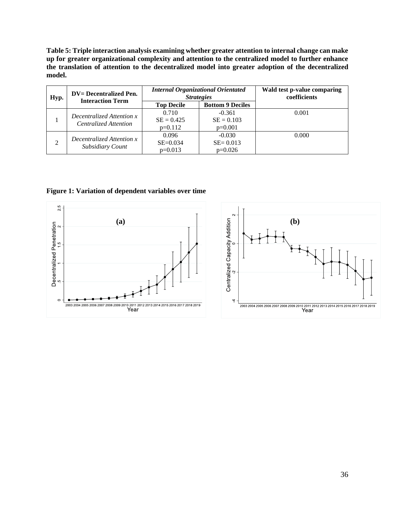<span id="page-35-0"></span>**Table 5: Triple interaction analysis examining whether greater attention to internal change can make up for greater organizational complexity and attention to the centralized model to further enhance the translation of attention to the decentralized model into greater adoption of the decentralized model.**

| Hyp.           | <b>DV</b> = Decentralized Pen.<br><b>Interaction Term</b> |                                    | <b>Internal Organizational Orientated</b><br><b>Strategies</b> | Wald test p-value comparing<br>coefficients |
|----------------|-----------------------------------------------------------|------------------------------------|----------------------------------------------------------------|---------------------------------------------|
|                |                                                           | <b>Top Decile</b>                  | <b>Bottom 9 Deciles</b>                                        |                                             |
|                | Decentralized Attention x<br>Centralized Attention        | 0.710<br>$SE = 0.425$<br>$p=0.112$ | $-0.361$<br>$SE = 0.103$<br>$p=0.001$                          | 0.001                                       |
| $\overline{2}$ | Decentralized Attention x<br>Subsidiary Count             | 0.096<br>$SE = 0.034$<br>$p=0.013$ | $-0.030$<br>$SE = 0.013$<br>$p=0.026$                          | 0.000                                       |

**Figure 1: Variation of dependent variables over time**

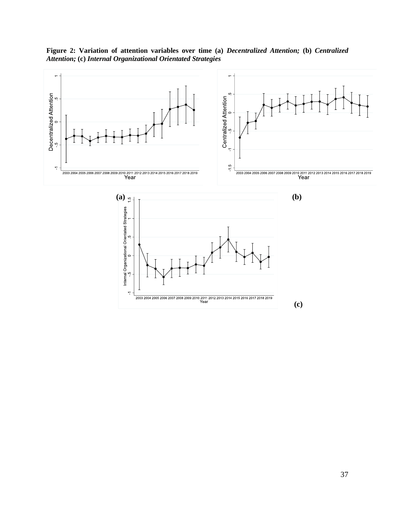**Figure 2: Variation of attention variables over time (a)** *Decentralized Attention;* **(b)** *Centralized Attention;* **(c)** *Internal Organizational Orientated Strategies*

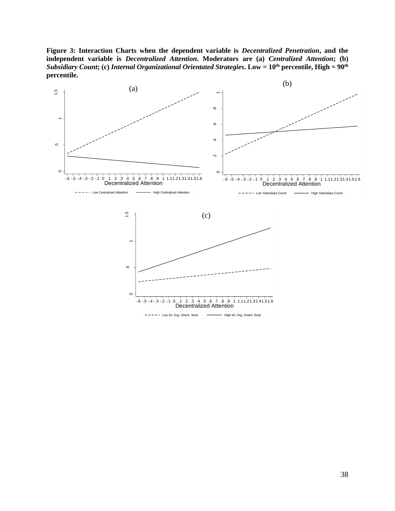<span id="page-37-0"></span>**Figure 3: Interaction Charts when the dependent variable is** *Decentralized Penetration***, and the independent variable is** *Decentralized Attention***. Moderators are (a)** *Centralized Attention***; (b)**  *Subsidiary Count***; (c)** *Internal Organizational Orientated Strategies***. Low = 10th percentile, High = 90th percentile.**



 $-6 - 5 - 4 - 3 - 2 - 1$  0  $1$  .2 .3 .4 5 6 7 8 9 1 1.11.21.31.41.51.6 Decentralized Attention  $--- - - -$  Low Int. Org. Orient. Strat.  $---$  High Int. Org. Orient. Strat.

 $\circ$